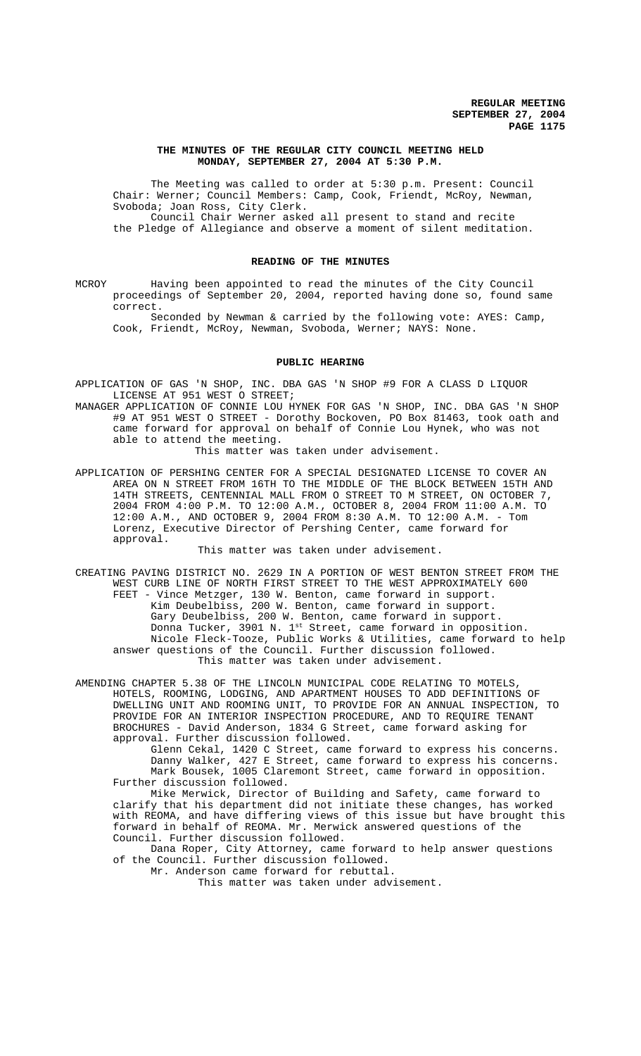# **THE MINUTES OF THE REGULAR CITY COUNCIL MEETING HELD MONDAY, SEPTEMBER 27, 2004 AT 5:30 P.M.**

The Meeting was called to order at 5:30 p.m. Present: Council Chair: Werner; Council Members: Camp, Cook, Friendt, McRoy, Newman, Svoboda; Joan Ross, City Clerk. Council Chair Werner asked all present to stand and recite

the Pledge of Allegiance and observe a moment of silent meditation.

#### **READING OF THE MINUTES**

MCROY Having been appointed to read the minutes of the City Council proceedings of September 20, 2004, reported having done so, found same correct.

Seconded by Newman & carried by the following vote: AYES: Camp, Cook, Friendt, McRoy, Newman, Svoboda, Werner; NAYS: None.

## **PUBLIC HEARING**

- APPLICATION OF GAS 'N SHOP, INC. DBA GAS 'N SHOP #9 FOR A CLASS D LIQUOR LICENSE AT 951 WEST O STREET;
- MANAGER APPLICATION OF CONNIE LOU HYNEK FOR GAS 'N SHOP, INC. DBA GAS 'N SHOP #9 AT 951 WEST O STREET - Dorothy Bockoven, PO Box 81463, took oath and came forward for approval on behalf of Connie Lou Hynek, who was not able to attend the meeting.

This matter was taken under advisement.

APPLICATION OF PERSHING CENTER FOR A SPECIAL DESIGNATED LICENSE TO COVER AN AREA ON N STREET FROM 16TH TO THE MIDDLE OF THE BLOCK BETWEEN 15TH AND 14TH STREETS, CENTENNIAL MALL FROM O STREET TO M STREET, ON OCTOBER 7, 2004 FROM 4:00 P.M. TO 12:00 A.M., OCTOBER 8, 2004 FROM 11:00 A.M. TO 12:00 A.M., AND OCTOBER 9, 2004 FROM 8:30 A.M. TO 12:00 A.M. - Tom Lorenz, Executive Director of Pershing Center, came forward for approval.

This matter was taken under advisement.

CREATING PAVING DISTRICT NO. 2629 IN A PORTION OF WEST BENTON STREET FROM THE WEST CURB LINE OF NORTH FIRST STREET TO THE WEST APPROXIMATELY 600 FEET - Vince Metzger, 130 W. Benton, came forward in support. Kim Deubelbiss, 200 W. Benton, came forward in support. Gary Deubelbiss, 200 W. Benton, came forward in support. Donna Tucker, 3901 N. 1<sup>st</sup> Street, came forward in opposition. Nicole Fleck-Tooze, Public Works & Utilities, came forward to help answer questions of the Council. Further discussion followed. This matter was taken under advisement.

AMENDING CHAPTER 5.38 OF THE LINCOLN MUNICIPAL CODE RELATING TO MOTELS, HOTELS, ROOMING, LODGING, AND APARTMENT HOUSES TO ADD DEFINITIONS OF DWELLING UNIT AND ROOMING UNIT, TO PROVIDE FOR AN ANNUAL INSPECTION, TO PROVIDE FOR AN INTERIOR INSPECTION PROCEDURE, AND TO REQUIRE TENANT BROCHURES - David Anderson, 1834 G Street, came forward asking for approval. Further discussion followed.

Glenn Cekal, 1420 C Street, came forward to express his concerns. Danny Walker, 427 E Street, came forward to express his concerns. Mark Bousek, 1005 Claremont Street, came forward in opposition. Further discussion followed.

Mike Merwick, Director of Building and Safety, came forward to clarify that his department did not initiate these changes, has worked with REOMA, and have differing views of this issue but have brought this forward in behalf of REOMA. Mr. Merwick answered questions of the Council. Further discussion followed.

Dana Roper, City Attorney, came forward to help answer questions of the Council. Further discussion followed.

Mr. Anderson came forward for rebuttal. This matter was taken under advisement.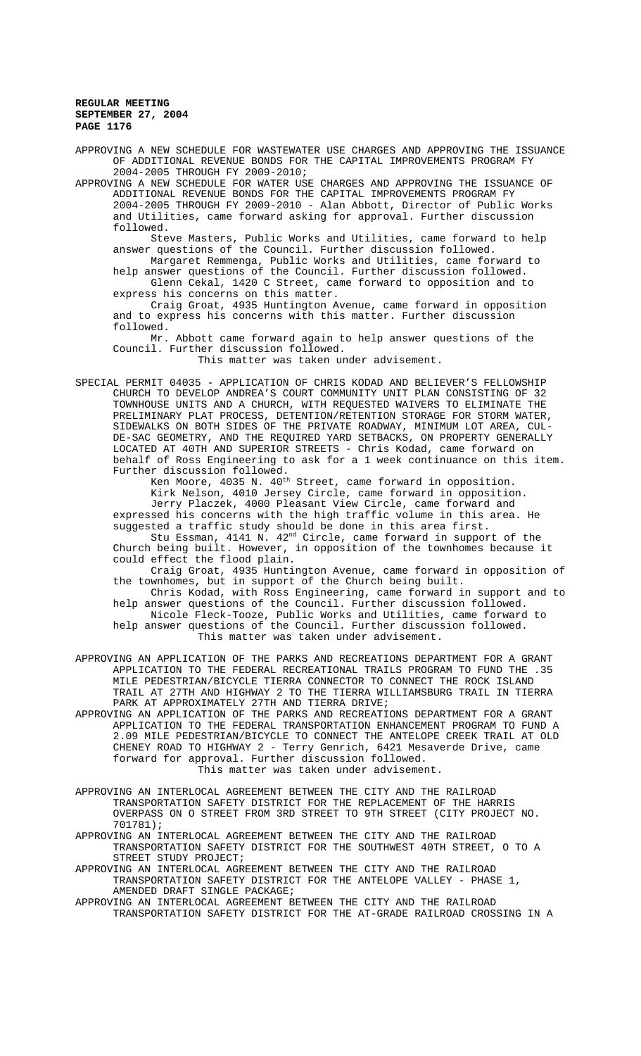APPROVING A NEW SCHEDULE FOR WASTEWATER USE CHARGES AND APPROVING THE ISSUANCE OF ADDITIONAL REVENUE BONDS FOR THE CAPITAL IMPROVEMENTS PROGRAM FY 2004-2005 THROUGH FY 2009-2010;

APPROVING A NEW SCHEDULE FOR WATER USE CHARGES AND APPROVING THE ISSUANCE OF ADDITIONAL REVENUE BONDS FOR THE CAPITAL IMPROVEMENTS PROGRAM FY 2004-2005 THROUGH FY 2009-2010 - Alan Abbott, Director of Public Works and Utilities, came forward asking for approval. Further discussion followed.

Steve Masters, Public Works and Utilities, came forward to help answer questions of the Council. Further discussion followed.

Margaret Remmenga, Public Works and Utilities, came forward to help answer questions of the Council. Further discussion followed. Glenn Cekal, 1420 C Street, came forward to opposition and to express his concerns on this matter.

Craig Groat, 4935 Huntington Avenue, came forward in opposition and to express his concerns with this matter. Further discussion followed.

Mr. Abbott came forward again to help answer questions of the Council. Further discussion followed.

This matter was taken under advisement.

SPECIAL PERMIT 04035 - APPLICATION OF CHRIS KODAD AND BELIEVER'S FELLOWSHIP CHURCH TO DEVELOP ANDREA'S COURT COMMUNITY UNIT PLAN CONSISTING OF 32 TOWNHOUSE UNITS AND A CHURCH, WITH REQUESTED WAIVERS TO ELIMINATE THE PRELIMINARY PLAT PROCESS, DETENTION/RETENTION STORAGE FOR STORM WATER, SIDEWALKS ON BOTH SIDES OF THE PRIVATE ROADWAY, MINIMUM LOT AREA, CUL-DE-SAC GEOMETRY, AND THE REQUIRED YARD SETBACKS, ON PROPERTY GENERALLY LOCATED AT 40TH AND SUPERIOR STREETS - Chris Kodad, came forward on behalf of Ross Engineering to ask for a 1 week continuance on this item. Further discussion followed.

Ken Moore, 4035 N. 40<sup>th</sup> Street, came forward in opposition. Kirk Nelson, 4010 Jersey Circle, came forward in opposition. Jerry Placzek, 4000 Pleasant View Circle, came forward and expressed his concerns with the high traffic volume in this area. He suggested a traffic study should be done in this area first.

Stu Essman, 4141 N. 42nd Circle, came forward in support of the Church being built. However, in opposition of the townhomes because it could effect the flood plain.

Craig Groat, 4935 Huntington Avenue, came forward in opposition of the townhomes, but in support of the Church being built.

Chris Kodad, with Ross Engineering, came forward in support and to help answer questions of the Council. Further discussion followed. Nicole Fleck-Tooze, Public Works and Utilities, came forward to help answer questions of the Council. Further discussion followed.

This matter was taken under advisement.

APPROVING AN APPLICATION OF THE PARKS AND RECREATIONS DEPARTMENT FOR A GRANT APPLICATION TO THE FEDERAL RECREATIONAL TRAILS PROGRAM TO FUND THE .35 MILE PEDESTRIAN/BICYCLE TIERRA CONNECTOR TO CONNECT THE ROCK ISLAND TRAIL AT 27TH AND HIGHWAY 2 TO THE TIERRA WILLIAMSBURG TRAIL IN TIERRA PARK AT APPROXIMATELY 27TH AND TIERRA DRIVE;

APPROVING AN APPLICATION OF THE PARKS AND RECREATIONS DEPARTMENT FOR A GRANT APPLICATION TO THE FEDERAL TRANSPORTATION ENHANCEMENT PROGRAM TO FUND A 2.09 MILE PEDESTRIAN/BICYCLE TO CONNECT THE ANTELOPE CREEK TRAIL AT OLD CHENEY ROAD TO HIGHWAY 2 - Terry Genrich, 6421 Mesaverde Drive, came forward for approval. Further discussion followed. This matter was taken under advisement.

APPROVING AN INTERLOCAL AGREEMENT BETWEEN THE CITY AND THE RAILROAD TRANSPORTATION SAFETY DISTRICT FOR THE REPLACEMENT OF THE HARRIS OVERPASS ON O STREET FROM 3RD STREET TO 9TH STREET (CITY PROJECT NO. 701781);

APPROVING AN INTERLOCAL AGREEMENT BETWEEN THE CITY AND THE RAILROAD TRANSPORTATION SAFETY DISTRICT FOR THE SOUTHWEST 40TH STREET, O TO A STREET STUDY PROJECT;

APPROVING AN INTERLOCAL AGREEMENT BETWEEN THE CITY AND THE RAILROAD TRANSPORTATION SAFETY DISTRICT FOR THE ANTELOPE VALLEY - PHASE 1, AMENDED DRAFT SINGLE PACKAGE;

APPROVING AN INTERLOCAL AGREEMENT BETWEEN THE CITY AND THE RAILROAD TRANSPORTATION SAFETY DISTRICT FOR THE AT-GRADE RAILROAD CROSSING IN A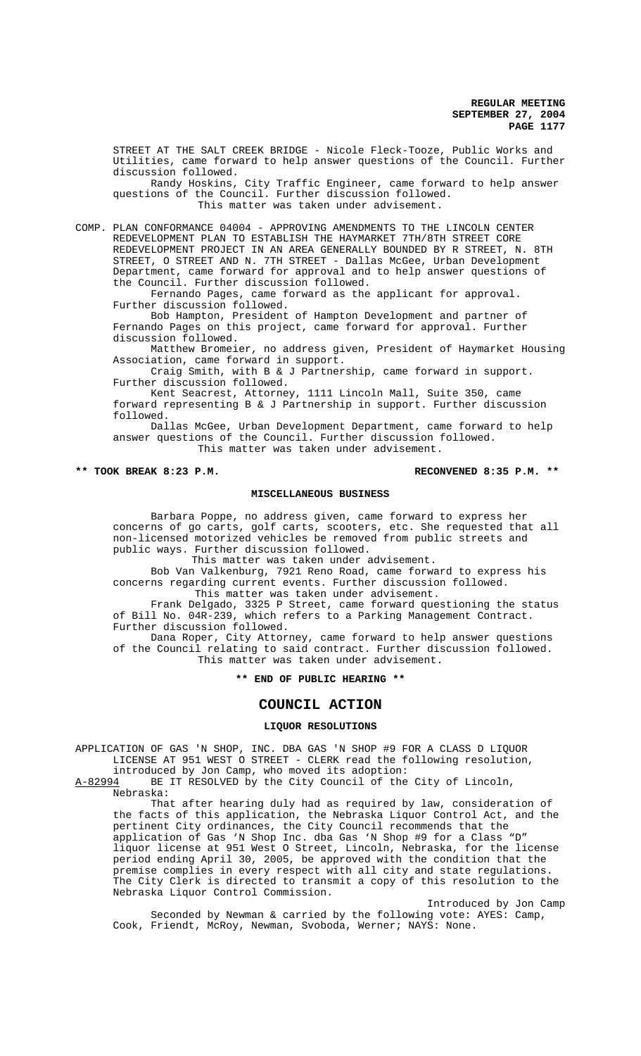STREET AT THE SALT CREEK BRIDGE - Nicole Fleck-Tooze, Public Works and Utilities, came forward to help answer questions of the Council. Further discussion followed.

Randy Hoskins, City Traffic Engineer, came forward to help answer questions of the Council. Further discussion followed. This matter was taken under advisement.

COMP. PLAN CONFORMANCE 04004 - APPROVING AMENDMENTS TO THE LINCOLN CENTER REDEVELOPMENT PLAN TO ESTABLISH THE HAYMARKET 7TH/8TH STREET CORE REDEVELOPMENT PROJECT IN AN AREA GENERALLY BOUNDED BY R STREET, N. 8TH STREET, O STREET AND N. 7TH STREET - Dallas McGee, Urban Development Department, came forward for approval and to help answer questions of the Council. Further discussion followed.

Fernando Pages, came forward as the applicant for approval. Further discussion followed.

Bob Hampton, President of Hampton Development and partner of Fernando Pages on this project, came forward for approval. Further discussion followed.

Matthew Bromeier, no address given, President of Haymarket Housing Association, came forward in support.

Craig Smith, with B & J Partnership, came forward in support. Further discussion followed.

Kent Seacrest, Attorney, 1111 Lincoln Mall, Suite 350, came forward representing B & J Partnership in support. Further discussion followed.

Dallas McGee, Urban Development Department, came forward to help answer questions of the Council. Further discussion followed. This matter was taken under advisement.

#### **\*\* TOOK BREAK 8:23 P.M. RECONVENED 8:35 P.M. \*\***

# **MISCELLANEOUS BUSINESS**

Barbara Poppe, no address given, came forward to express her concerns of go carts, golf carts, scooters, etc. She requested that all non-licensed motorized vehicles be removed from public streets and public ways. Further discussion followed.

This matter was taken under advisement.

Bob Van Valkenburg, 7921 Reno Road, came forward to express his concerns regarding current events. Further discussion followed.

This matter was taken under advisement.

Frank Delgado, 3325 P Street, came forward questioning the status of Bill No. 04R-239, which refers to a Parking Management Contract. Further discussion followed.

Dana Roper, City Attorney, came forward to help answer questions of the Council relating to said contract. Further discussion followed. This matter was taken under advisement.

# **\*\* END OF PUBLIC HEARING \*\***

# **COUNCIL ACTION**

## **LIQUOR RESOLUTIONS**

APPLICATION OF GAS 'N SHOP, INC. DBA GAS 'N SHOP #9 FOR A CLASS D LIQUOR LICENSE AT 951 WEST O STREET - CLERK read the following resolution,

introduced by Jon Camp, who moved its adoption:<br>A-82994 BE IT RESOLVED by the City Council of the

BE IT RESOLVED by the City Council of the City of Lincoln, Nebraska:

That after hearing duly had as required by law, consideration of the facts of this application, the Nebraska Liquor Control Act, and the pertinent City ordinances, the City Council recommends that the application of Gas 'N Shop Inc. dba Gas 'N Shop #9 for a Class "D" liquor license at 951 West O Street, Lincoln, Nebraska, for the license period ending April 30, 2005, be approved with the condition that the premise complies in every respect with all city and state regulations. The City Clerk is directed to transmit a copy of this resolution to the Nebraska Liquor Control Commission.

Introduced by Jon Camp Seconded by Newman & carried by the following vote: AYES: Camp, Cook, Friendt, McRoy, Newman, Svoboda, Werner; NAYS: None.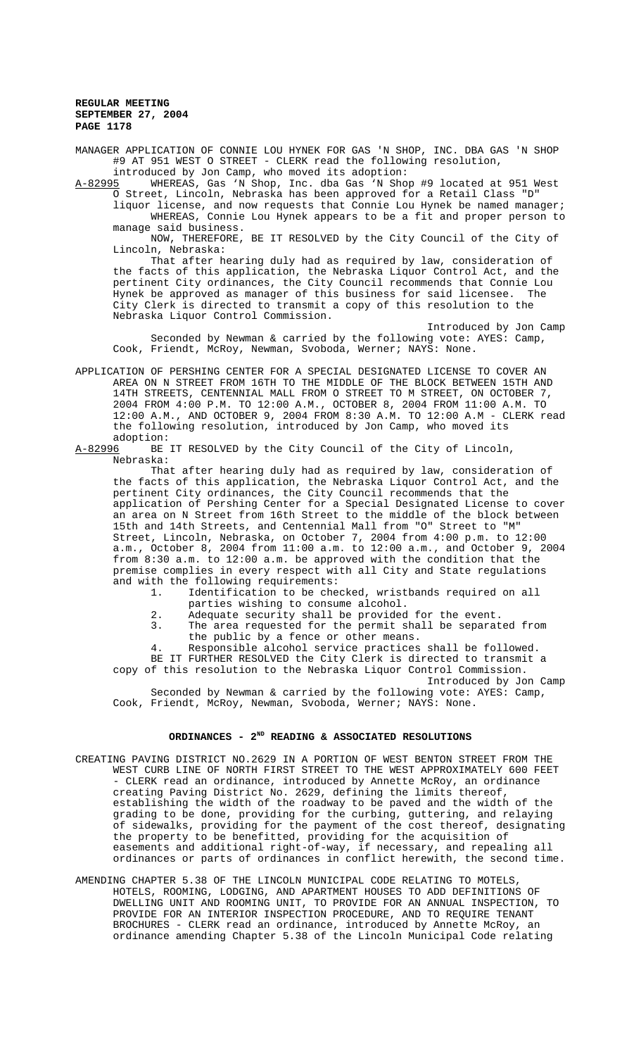MANAGER APPLICATION OF CONNIE LOU HYNEK FOR GAS 'N SHOP, INC. DBA GAS 'N SHOP #9 AT 951 WEST O STREET - CLERK read the following resolution,

introduced by Jon Camp, who moved its adoption:<br>A-82995 WHEREAS, Gas 'N Shop, Inc. dba Gas 'N Shop A-82995 WHEREAS, Gas 'N Shop, Inc. dba Gas 'N Shop #9 located at 951 West

O Street, Lincoln, Nebraska has been approved for a Retail Class "D" liquor license, and now requests that Connie Lou Hynek be named manager; WHEREAS, Connie Lou Hynek appears to be a fit and proper person to manage said business.

NOW, THEREFORE, BE IT RESOLVED by the City Council of the City of Lincoln, Nebraska:

That after hearing duly had as required by law, consideration of the facts of this application, the Nebraska Liquor Control Act, and the pertinent City ordinances, the City Council recommends that Connie Lou Hynek be approved as manager of this business for said licensee. The City Clerk is directed to transmit a copy of this resolution to the Nebraska Liquor Control Commission.

Introduced by Jon Camp Seconded by Newman & carried by the following vote: AYES: Camp, Cook, Friendt, McRoy, Newman, Svoboda, Werner; NAYS: None.

APPLICATION OF PERSHING CENTER FOR A SPECIAL DESIGNATED LICENSE TO COVER AN AREA ON N STREET FROM 16TH TO THE MIDDLE OF THE BLOCK BETWEEN 15TH AND 14TH STREETS, CENTENNIAL MALL FROM O STREET TO M STREET, ON OCTOBER 7, 2004 FROM 4:00 P.M. TO 12:00 A.M., OCTOBER 8, 2004 FROM 11:00 A.M. TO 12:00 A.M., AND OCTOBER 9, 2004 FROM 8:30 A.M. TO 12:00 A.M - CLERK read the following resolution, introduced by Jon Camp, who moved its adoption:

A-82996 BE IT RESOLVED by the City Council of the City of Lincoln, Nebraska:

That after hearing duly had as required by law, consideration of the facts of this application, the Nebraska Liquor Control Act, and the pertinent City ordinances, the City Council recommends that the application of Pershing Center for a Special Designated License to cover an area on N Street from 16th Street to the middle of the block between 15th and 14th Streets, and Centennial Mall from "O" Street to "M" Street, Lincoln, Nebraska, on October 7, 2004 from 4:00 p.m. to 12:00 a.m., October 8, 2004 from 11:00 a.m. to 12:00 a.m., and October 9, 2004 from 8:30 a.m. to 12:00 a.m. be approved with the condition that the premise complies in every respect with all City and State regulations and with the following requirements:

1. Identification to be checked, wristbands required on all parties wishing to consume alcohol.

- 2. Adequate security shall be provided for the event.
- 3. The area requested for the permit shall be separated from the public by a fence or other means.
- 4. Responsible alcohol service practices shall be followed.

BE IT FURTHER RESOLVED the City Clerk is directed to transmit a copy of this resolution to the Nebraska Liquor Control Commission.

Introduced by Jon Camp Seconded by Newman & carried by the following vote: AYES: Camp, Cook, Friendt, McRoy, Newman, Svoboda, Werner; NAYS: None.

# ORDINANCES - 2<sup>ND</sup> READING & ASSOCIATED RESOLUTIONS

- CREATING PAVING DISTRICT NO.2629 IN A PORTION OF WEST BENTON STREET FROM THE WEST CURB LINE OF NORTH FIRST STREET TO THE WEST APPROXIMATELY 600 FEET - CLERK read an ordinance, introduced by Annette McRoy, an ordinance creating Paving District No. 2629, defining the limits thereof, establishing the width of the roadway to be paved and the width of the grading to be done, providing for the curbing, guttering, and relaying of sidewalks, providing for the payment of the cost thereof, designating the property to be benefitted, providing for the acquisition of easements and additional right-of-way, if necessary, and repealing all ordinances or parts of ordinances in conflict herewith, the second time.
- AMENDING CHAPTER 5.38 OF THE LINCOLN MUNICIPAL CODE RELATING TO MOTELS, HOTELS, ROOMING, LODGING, AND APARTMENT HOUSES TO ADD DEFINITIONS OF DWELLING UNIT AND ROOMING UNIT, TO PROVIDE FOR AN ANNUAL INSPECTION, TO PROVIDE FOR AN INTERIOR INSPECTION PROCEDURE, AND TO REQUIRE TENANT BROCHURES - CLERK read an ordinance, introduced by Annette McRoy, an ordinance amending Chapter 5.38 of the Lincoln Municipal Code relating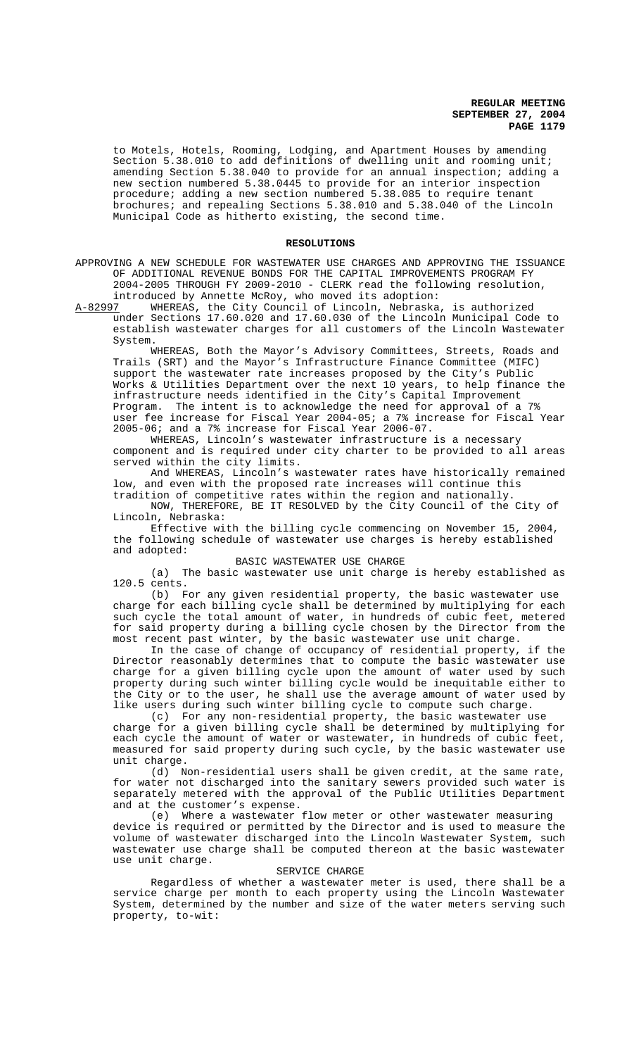to Motels, Hotels, Rooming, Lodging, and Apartment Houses by amending Section 5.38.010 to add definitions of dwelling unit and rooming unit; amending Section 5.38.040 to provide for an annual inspection; adding a new section numbered 5.38.0445 to provide for an interior inspection procedure; adding a new section numbered 5.38.085 to require tenant brochures; and repealing Sections 5.38.010 and 5.38.040 of the Lincoln Municipal Code as hitherto existing, the second time.

#### **RESOLUTIONS**

APPROVING A NEW SCHEDULE FOR WASTEWATER USE CHARGES AND APPROVING THE ISSUANCE OF ADDITIONAL REVENUE BONDS FOR THE CAPITAL IMPROVEMENTS PROGRAM FY 2004-2005 THROUGH FY 2009-2010 - CLERK read the following resolution,

introduced by Annette McRoy, who moved its adoption:<br>A-82997 WHEREAS, the City Council of Lincoln, Nebraska WHEREAS, the City Council of Lincoln, Nebraska, is authorized under Sections 17.60.020 and 17.60.030 of the Lincoln Municipal Code to establish wastewater charges for all customers of the Lincoln Wastewater System.

WHEREAS, Both the Mayor's Advisory Committees, Streets, Roads and Trails (SRT) and the Mayor's Infrastructure Finance Committee (MIFC) support the wastewater rate increases proposed by the City's Public Works & Utilities Department over the next 10 years, to help finance the infrastructure needs identified in the City's Capital Improvement Program. The intent is to acknowledge the need for approval of a 7% user fee increase for Fiscal Year 2004-05; a 7% increase for Fiscal Year 2005-06; and a 7% increase for Fiscal Year 2006-07.

WHEREAS, Lincoln's wastewater infrastructure is a necessary component and is required under city charter to be provided to all areas served within the city limits.

And WHEREAS, Lincoln's wastewater rates have historically remained low, and even with the proposed rate increases will continue this tradition of competitive rates within the region and nationally.

NOW, THEREFORE, BE IT RESOLVED by the City Council of the City of Lincoln, Nebraska:

Effective with the billing cycle commencing on November 15, 2004, the following schedule of wastewater use charges is hereby established and adopted:

## BASIC WASTEWATER USE CHARGE

(a) The basic wastewater use unit charge is hereby established as 120.5 cents.

(b) For any given residential property, the basic wastewater use charge for each billing cycle shall be determined by multiplying for each such cycle the total amount of water, in hundreds of cubic feet, metered for said property during a billing cycle chosen by the Director from the most recent past winter, by the basic wastewater use unit charge.

In the case of change of occupancy of residential property, if the Director reasonably determines that to compute the basic wastewater use charge for a given billing cycle upon the amount of water used by such property during such winter billing cycle would be inequitable either to the City or to the user, he shall use the average amount of water used by like users during such winter billing cycle to compute such charge.

(c) For any non-residential property, the basic wastewater use charge for a given billing cycle shall be determined by multiplying for each cycle the amount of water or wastewater, in hundreds of cubic feet, measured for said property during such cycle, by the basic wastewater use unit charge.

(d) Non-residential users shall be given credit, at the same rate, for water not discharged into the sanitary sewers provided such water is separately metered with the approval of the Public Utilities Department and at the customer's expense.

(e) Where a wastewater flow meter or other wastewater measuring device is required or permitted by the Director and is used to measure the volume of wastewater discharged into the Lincoln Wastewater System, such wastewater use charge shall be computed thereon at the basic wastewater use unit charge.

#### SERVICE CHARGE

Regardless of whether a wastewater meter is used, there shall be a service charge per month to each property using the Lincoln Wastewater System, determined by the number and size of the water meters serving such property, to-wit: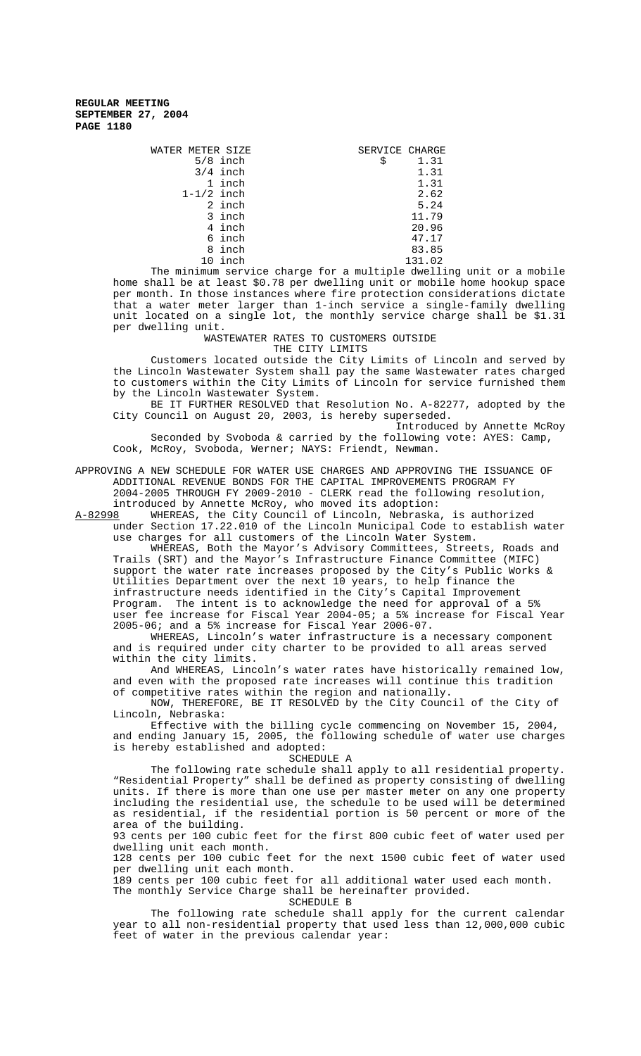| WATER METER SIZE |            | SERVICE CHARGE |        |
|------------------|------------|----------------|--------|
|                  | $5/8$ inch | \$             | 1.31   |
|                  | $3/4$ inch |                | 1.31   |
|                  | 1 inch     |                | 1.31   |
| $1-1/2$ inch     |            |                | 2.62   |
|                  | 2 inch     |                | 5.24   |
|                  | 3 inch     |                | 11.79  |
|                  | 4 inch     |                | 20.96  |
|                  | 6 inch     |                | 47.17  |
|                  | 8 inch     |                | 83.85  |
|                  | 10 inch    |                | 131.02 |

The minimum service charge for a multiple dwelling unit or a mobile home shall be at least \$0.78 per dwelling unit or mobile home hookup space per month. In those instances where fire protection considerations dictate that a water meter larger than 1-inch service a single-family dwelling unit located on a single lot, the monthly service charge shall be \$1.31 per dwelling unit.

WASTEWATER RATES TO CUSTOMERS OUTSIDE THE CITY LIMITS

Customers located outside the City Limits of Lincoln and served by the Lincoln Wastewater System shall pay the same Wastewater rates charged to customers within the City Limits of Lincoln for service furnished them by the Lincoln Wastewater System.

BE IT FURTHER RESOLVED that Resolution No. A-82277, adopted by the City Council on August 20, 2003, is hereby superseded.

Introduced by Annette McRoy Seconded by Svoboda & carried by the following vote: AYES: Camp, Cook, McRoy, Svoboda, Werner; NAYS: Friendt, Newman.

APPROVING A NEW SCHEDULE FOR WATER USE CHARGES AND APPROVING THE ISSUANCE OF ADDITIONAL REVENUE BONDS FOR THE CAPITAL IMPROVEMENTS PROGRAM FY 2004-2005 THROUGH FY 2009-2010 - CLERK read the following resolution, introduced by Annette McRoy, who moved its adoption:<br>A-82998 WHEREAS, the City Council of Lincoln, Nebraska

WHEREAS, the City Council of Lincoln, Nebraska, is authorized under Section 17.22.010 of the Lincoln Municipal Code to establish water use charges for all customers of the Lincoln Water System.

WHEREAS, Both the Mayor's Advisory Committees, Streets, Roads and Trails (SRT) and the Mayor's Infrastructure Finance Committee (MIFC) support the water rate increases proposed by the City's Public Works & Utilities Department over the next 10 years, to help finance the infrastructure needs identified in the City's Capital Improvement Program. The intent is to acknowledge the need for approval of a 5% user fee increase for Fiscal Year 2004-05; a 5% increase for Fiscal Year 2005-06; and a 5% increase for Fiscal Year 2006-07.

WHEREAS, Lincoln's water infrastructure is a necessary component and is required under city charter to be provided to all areas served within the city limits.

And WHEREAS, Lincoln's water rates have historically remained low, and even with the proposed rate increases will continue this tradition of competitive rates within the region and nationally.

NOW, THEREFORE, BE IT RESOLVED by the City Council of the City of Lincoln, Nebraska:

Effective with the billing cycle commencing on November 15, 2004, and ending January 15, 2005, the following schedule of water use charges is hereby established and adopted:

SCHEDULE A

The following rate schedule shall apply to all residential property. "Residential Property" shall be defined as property consisting of dwelling units. If there is more than one use per master meter on any one property including the residential use, the schedule to be used will be determined as residential, if the residential portion is 50 percent or more of the area of the building.

93 cents per 100 cubic feet for the first 800 cubic feet of water used per dwelling unit each month.

128 cents per 100 cubic feet for the next 1500 cubic feet of water used per dwelling unit each month.

189 cents per 100 cubic feet for all additional water used each month. The monthly Service Charge shall be hereinafter provided.

SCHEDULE B

The following rate schedule shall apply for the current calendar year to all non-residential property that used less than 12,000,000 cubic feet of water in the previous calendar year: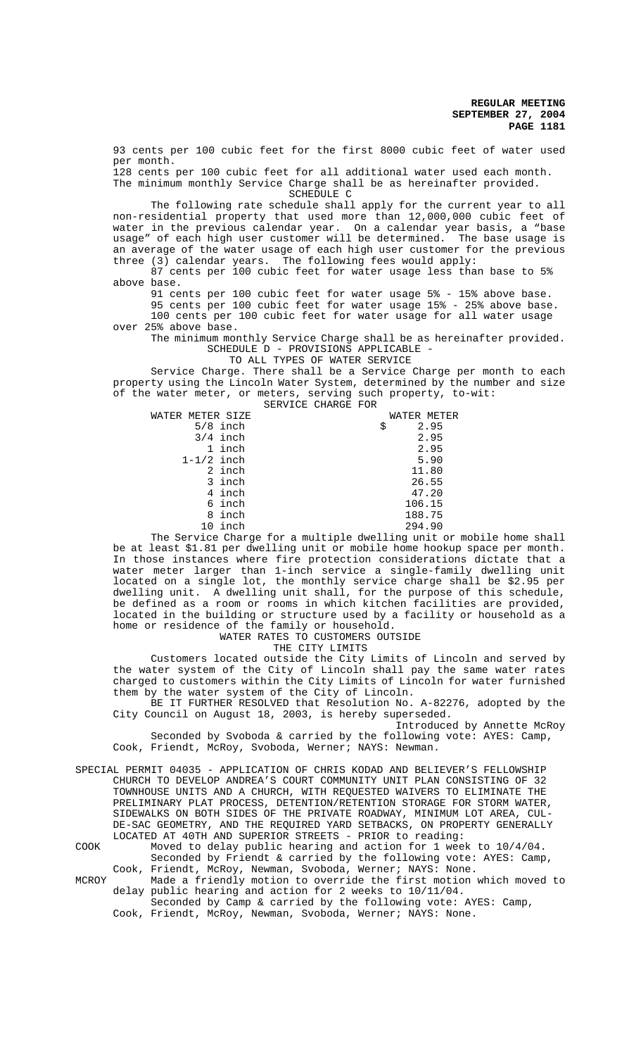93 cents per 100 cubic feet for the first 8000 cubic feet of water used per month.

128 cents per 100 cubic feet for all additional water used each month. The minimum monthly Service Charge shall be as hereinafter provided. SCHEDULE C

The following rate schedule shall apply for the current year to all non-residential property that used more than 12,000,000 cubic feet of water in the previous calendar year. On a calendar year basis, a "base usage" of each high user customer will be determined. The base usage is an average of the water usage of each high user customer for the previous three (3) calendar years. The following fees would apply:

87 cents per 100 cubic feet for water usage less than base to 5% above base.

91 cents per 100 cubic feet for water usage 5% - 15% above base.

95 cents per 100 cubic feet for water usage 15% - 25% above base. 100 cents per 100 cubic feet for water usage for all water usage over 25% above base.

The minimum monthly Service Charge shall be as hereinafter provided. SCHEDULE D - PROVISIONS APPLICABLE -

TO ALL TYPES OF WATER SERVICE

Service Charge. There shall be a Service Charge per month to each property using the Lincoln Water System, determined by the number and size of the water meter, or meters, serving such property, to-wit:

|                                                                                                                | SERVICE CHARGE FOR |             |       |
|----------------------------------------------------------------------------------------------------------------|--------------------|-------------|-------|
| WATER METER SIZE                                                                                               |                    | WATER METER |       |
| $5/8$ inch                                                                                                     |                    | \$          | 2.95  |
| $3/4$ inch                                                                                                     |                    |             | 2.95  |
| 1 inch                                                                                                         |                    |             | 2.95  |
| $1-1/2$ inch                                                                                                   |                    |             | 5.90  |
| 2 inch                                                                                                         |                    |             | 11.80 |
| 3 inch                                                                                                         |                    |             | 26.55 |
| 4 inch                                                                                                         |                    |             | 47.20 |
| 6 inch                                                                                                         |                    | 106.15      |       |
| 8 inch                                                                                                         |                    | 188.75      |       |
| 10 inch                                                                                                        |                    | 294.90      |       |
| mational of the contract the contract of the contract of the contract of the contract of the contract of the c |                    |             |       |

The Service Charge for a multiple dwelling unit or mobile home shall be at least \$1.81 per dwelling unit or mobile home hookup space per month. In those instances where fire protection considerations dictate that a water meter larger than 1-inch service a single-family dwelling unit located on a single lot, the monthly service charge shall be \$2.95 per dwelling unit. A dwelling unit shall, for the purpose of this schedule, be defined as a room or rooms in which kitchen facilities are provided, located in the building or structure used by a facility or household as a home or residence of the family or household.

WATER RATES TO CUSTOMERS OUTSIDE

THE CITY LIMITS

Customers located outside the City Limits of Lincoln and served by the water system of the City of Lincoln shall pay the same water rates charged to customers within the City Limits of Lincoln for water furnished them by the water system of the City of Lincoln.

BE IT FURTHER RESOLVED that Resolution No. A-82276, adopted by the City Council on August 18, 2003, is hereby superseded.

Introduced by Annette McRoy Seconded by Svoboda & carried by the following vote: AYES: Camp, Cook, Friendt, McRoy, Svoboda, Werner; NAYS: Newman.

SPECIAL PERMIT 04035 - APPLICATION OF CHRIS KODAD AND BELIEVER'S FELLOWSHIP CHURCH TO DEVELOP ANDREA'S COURT COMMUNITY UNIT PLAN CONSISTING OF 32 TOWNHOUSE UNITS AND A CHURCH, WITH REQUESTED WAIVERS TO ELIMINATE THE PRELIMINARY PLAT PROCESS, DETENTION/RETENTION STORAGE FOR STORM WATER, SIDEWALKS ON BOTH SIDES OF THE PRIVATE ROADWAY, MINIMUM LOT AREA, CUL-DE-SAC GEOMETRY, AND THE REQUIRED YARD SETBACKS, ON PROPERTY GENERALLY LOCATED AT 40TH AND SUPERIOR STREETS - PRIOR to reading:

COOK Moved to delay public hearing and action for 1 week to 10/4/04. Seconded by Friendt & carried by the following vote: AYES: Camp, Cook, Friendt, McRoy, Newman, Svoboda, Werner; NAYS: None.

MCROY Made a friendly motion to override the first motion which moved to delay public hearing and action for 2 weeks to 10/11/04.

Seconded by Camp & carried by the following vote: AYES: Camp, Cook, Friendt, McRoy, Newman, Svoboda, Werner; NAYS: None.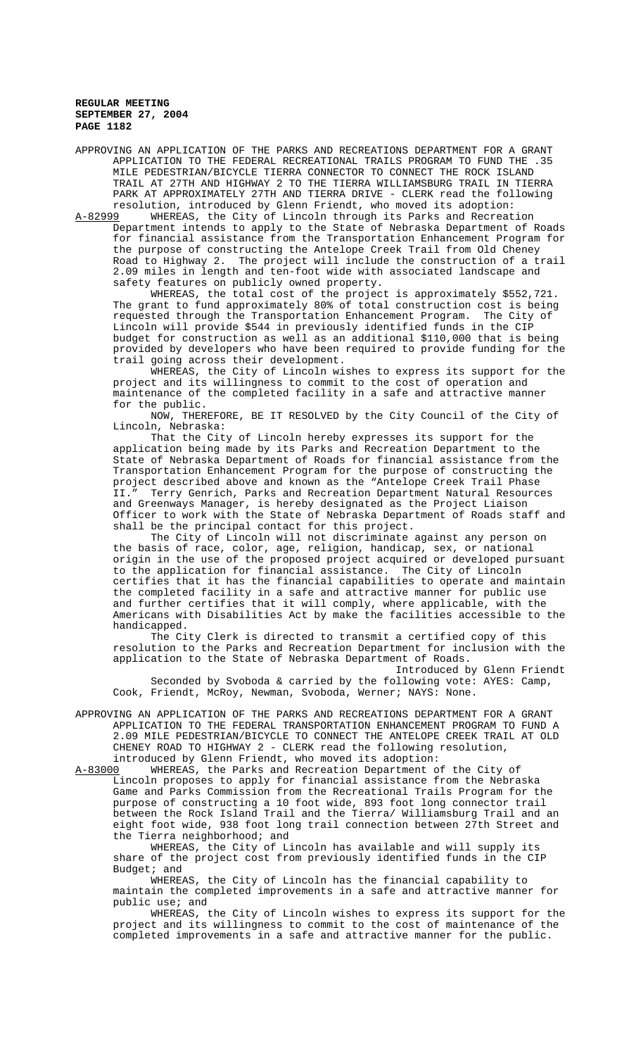APPROVING AN APPLICATION OF THE PARKS AND RECREATIONS DEPARTMENT FOR A GRANT APPLICATION TO THE FEDERAL RECREATIONAL TRAILS PROGRAM TO FUND THE .35 MILE PEDESTRIAN/BICYCLE TIERRA CONNECTOR TO CONNECT THE ROCK ISLAND TRAIL AT 27TH AND HIGHWAY 2 TO THE TIERRA WILLIAMSBURG TRAIL IN TIERRA PARK AT APPROXIMATELY 27TH AND TIERRA DRIVE - CLERK read the following

resolution, introduced by Glenn Friendt, who moved its adoption:<br>A-82999 WHEREAS, the City of Lincoln through its Parks and Recreat WHEREAS, the City of Lincoln through its Parks and Recreation Department intends to apply to the State of Nebraska Department of Roads for financial assistance from the Transportation Enhancement Program for the purpose of constructing the Antelope Creek Trail from Old Cheney Road to Highway 2. The project will include the construction of a trail 2.09 miles in length and ten-foot wide with associated landscape and safety features on publicly owned property.

WHEREAS, the total cost of the project is approximately \$552,721. The grant to fund approximately 80% of total construction cost is being requested through the Transportation Enhancement Program. The City of Lincoln will provide \$544 in previously identified funds in the CIP budget for construction as well as an additional \$110,000 that is being provided by developers who have been required to provide funding for the trail going across their development.

WHEREAS, the City of Lincoln wishes to express its support for the project and its willingness to commit to the cost of operation and maintenance of the completed facility in a safe and attractive manner for the public.

NOW, THEREFORE, BE IT RESOLVED by the City Council of the City of Lincoln, Nebraska:

That the City of Lincoln hereby expresses its support for the application being made by its Parks and Recreation Department to the State of Nebraska Department of Roads for financial assistance from the Transportation Enhancement Program for the purpose of constructing the project described above and known as the "Antelope Creek Trail Phase II." Terry Genrich, Parks and Recreation Department Natural Resources and Greenways Manager, is hereby designated as the Project Liaison Officer to work with the State of Nebraska Department of Roads staff and shall be the principal contact for this project.

The City of Lincoln will not discriminate against any person on the basis of race, color, age, religion, handicap, sex, or national origin in the use of the proposed project acquired or developed pursuant<br>to the application for financial assistance. The City of Lincoln to the application for financial assistance. certifies that it has the financial capabilities to operate and maintain the completed facility in a safe and attractive manner for public use and further certifies that it will comply, where applicable, with the Americans with Disabilities Act by make the facilities accessible to the handicapped.

The City Clerk is directed to transmit a certified copy of this resolution to the Parks and Recreation Department for inclusion with the application to the State of Nebraska Department of Roads.

Introduced by Glenn Friendt Seconded by Svoboda & carried by the following vote: AYES: Camp, Cook, Friendt, McRoy, Newman, Svoboda, Werner; NAYS: None.

APPROVING AN APPLICATION OF THE PARKS AND RECREATIONS DEPARTMENT FOR A GRANT APPLICATION TO THE FEDERAL TRANSPORTATION ENHANCEMENT PROGRAM TO FUND A 2.09 MILE PEDESTRIAN/BICYCLE TO CONNECT THE ANTELOPE CREEK TRAIL AT OLD CHENEY ROAD TO HIGHWAY 2 - CLERK read the following resolution, introduced by Glenn Friendt, who moved its adoption:

A-83000 WHEREAS, the Parks and Recreation Department of the City of Lincoln proposes to apply for financial assistance from the Nebraska Game and Parks Commission from the Recreational Trails Program for the purpose of constructing a 10 foot wide, 893 foot long connector trail between the Rock Island Trail and the Tierra/ Williamsburg Trail and an eight foot wide, 938 foot long trail connection between 27th Street and the Tierra neighborhood; and

WHEREAS, the City of Lincoln has available and will supply its share of the project cost from previously identified funds in the CIP Budget; and

WHEREAS, the City of Lincoln has the financial capability to maintain the completed improvements in a safe and attractive manner for public use; and

WHEREAS, the City of Lincoln wishes to express its support for the project and its willingness to commit to the cost of maintenance of the completed improvements in a safe and attractive manner for the public.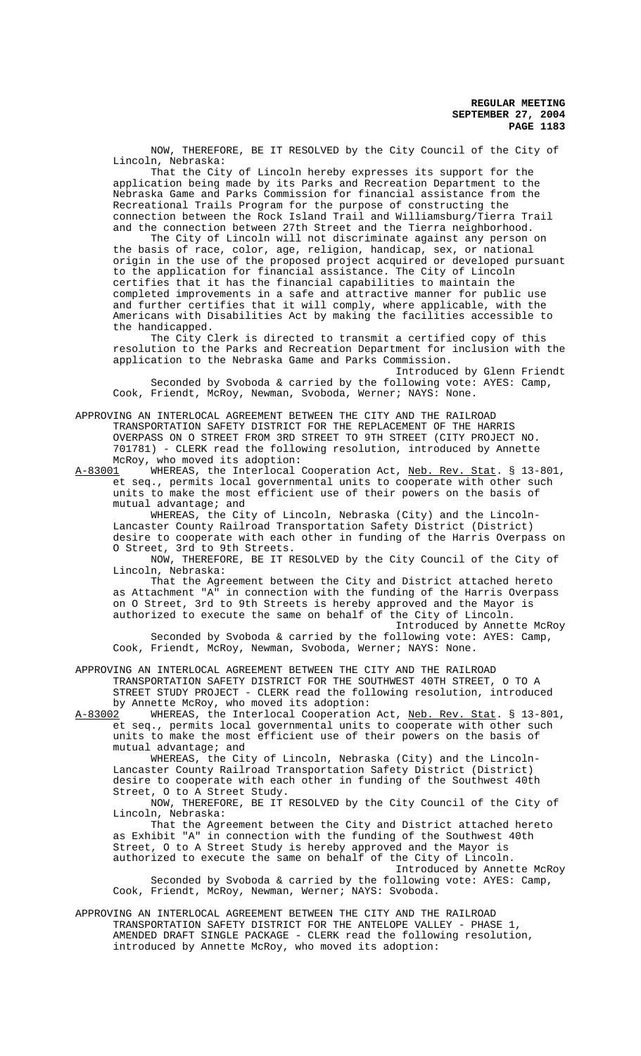NOW, THEREFORE, BE IT RESOLVED by the City Council of the City of Lincoln, Nebraska:

That the City of Lincoln hereby expresses its support for the application being made by its Parks and Recreation Department to the Nebraska Game and Parks Commission for financial assistance from the Recreational Trails Program for the purpose of constructing the connection between the Rock Island Trail and Williamsburg/Tierra Trail and the connection between 27th Street and the Tierra neighborhood.

The City of Lincoln will not discriminate against any person on the basis of race, color, age, religion, handicap, sex, or national origin in the use of the proposed project acquired or developed pursuant to the application for financial assistance. The City of Lincoln certifies that it has the financial capabilities to maintain the completed improvements in a safe and attractive manner for public use and further certifies that it will comply, where applicable, with the Americans with Disabilities Act by making the facilities accessible to the handicapped.

The City Clerk is directed to transmit a certified copy of this resolution to the Parks and Recreation Department for inclusion with the application to the Nebraska Game and Parks Commission.

Introduced by Glenn Friendt Seconded by Svoboda & carried by the following vote: AYES: Camp, Cook, Friendt, McRoy, Newman, Svoboda, Werner; NAYS: None.

APPROVING AN INTERLOCAL AGREEMENT BETWEEN THE CITY AND THE RAILROAD TRANSPORTATION SAFETY DISTRICT FOR THE REPLACEMENT OF THE HARRIS OVERPASS ON O STREET FROM 3RD STREET TO 9TH STREET (CITY PROJECT NO. 701781) - CLERK read the following resolution, introduced by Annette McRoy, who moved its adoption:

A-83001 WHEREAS, the Interlocal Cooperation Act, Neb. Rev. Stat. § 13-801, et seq., permits local governmental units to cooperate with other such units to make the most efficient use of their powers on the basis of mutual advantage; and

WHEREAS, the City of Lincoln, Nebraska (City) and the Lincoln-Lancaster County Railroad Transportation Safety District (District) desire to cooperate with each other in funding of the Harris Overpass on O Street, 3rd to 9th Streets.

NOW, THEREFORE, BE IT RESOLVED by the City Council of the City of Lincoln, Nebraska:

That the Agreement between the City and District attached hereto as Attachment "A" in connection with the funding of the Harris Overpass on O Street, 3rd to 9th Streets is hereby approved and the Mayor is authorized to execute the same on behalf of the City of Lincoln. Introduced by Annette McRoy

Seconded by Svoboda & carried by the following vote: AYES: Camp, Cook, Friendt, McRoy, Newman, Svoboda, Werner; NAYS: None.

APPROVING AN INTERLOCAL AGREEMENT BETWEEN THE CITY AND THE RAILROAD TRANSPORTATION SAFETY DISTRICT FOR THE SOUTHWEST 40TH STREET, O TO A STREET STUDY PROJECT - CLERK read the following resolution, introduced by Annette McRoy, who moved its adoption:<br>A-83002 WHEREAS, the Interlocal Cooperation

WHEREAS, the Interlocal Cooperation Act, Neb. Rev. Stat. § 13-801, et seq., permits local governmental units to cooperate with other such units to make the most efficient use of their powers on the basis of mutual advantage; and

WHEREAS, the City of Lincoln, Nebraska (City) and the Lincoln-Lancaster County Railroad Transportation Safety District (District) desire to cooperate with each other in funding of the Southwest 40th Street, O to A Street Study.

NOW, THEREFORE, BE IT RESOLVED by the City Council of the City of Lincoln, Nebraska:

That the Agreement between the City and District attached hereto as Exhibit "A" in connection with the funding of the Southwest 40th Street, O to A Street Study is hereby approved and the Mayor is authorized to execute the same on behalf of the City of Lincoln. Introduced by Annette McRoy

Seconded by Svoboda & carried by the following vote: AYES: Camp, Cook, Friendt, McRoy, Newman, Werner; NAYS: Svoboda.

APPROVING AN INTERLOCAL AGREEMENT BETWEEN THE CITY AND THE RAILROAD TRANSPORTATION SAFETY DISTRICT FOR THE ANTELOPE VALLEY - PHASE 1, AMENDED DRAFT SINGLE PACKAGE - CLERK read the following resolution, introduced by Annette McRoy, who moved its adoption: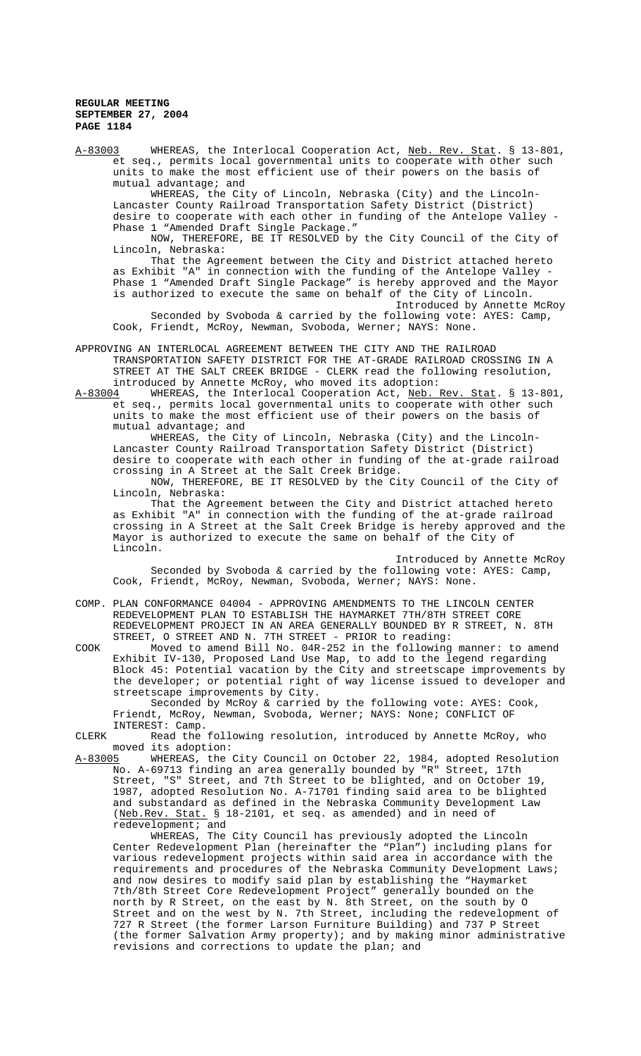A-83003 WHEREAS, the Interlocal Cooperation Act, Neb. Rev. Stat. § 13-801, et seq., permits local governmental units to cooperate with other such units to make the most efficient use of their powers on the basis of mutual advantage; and

WHEREAS, the City of Lincoln, Nebraska (City) and the Lincoln-Lancaster County Railroad Transportation Safety District (District) desire to cooperate with each other in funding of the Antelope Valley - Phase 1 "Amended Draft Single Package."

NOW, THEREFORE, BE IT RESOLVED by the City Council of the City of Lincoln, Nebraska:

That the Agreement between the City and District attached hereto as Exhibit "A" in connection with the funding of the Antelope Valley - Phase 1 "Amended Draft Single Package" is hereby approved and the Mayor is authorized to execute the same on behalf of the City of Lincoln. Introduced by Annette McRoy

Seconded by Svoboda & carried by the following vote: AYES: Camp, Cook, Friendt, McRoy, Newman, Svoboda, Werner; NAYS: None.

APPROVING AN INTERLOCAL AGREEMENT BETWEEN THE CITY AND THE RAILROAD TRANSPORTATION SAFETY DISTRICT FOR THE AT-GRADE RAILROAD CROSSING IN A STREET AT THE SALT CREEK BRIDGE - CLERK read the following resolution, introduced by Annette McRoy, who moved its adoption:<br>A-83004 WHEREAS, the Interlocal Cooperation Act, Neb.

WHEREAS, the Interlocal Cooperation Act, Neb. Rev. Stat. § 13-801, et seq., permits local governmental units to cooperate with other such units to make the most efficient use of their powers on the basis of mutual advantage; and

WHEREAS, the City of Lincoln, Nebraska (City) and the Lincoln-Lancaster County Railroad Transportation Safety District (District) desire to cooperate with each other in funding of the at-grade railroad crossing in A Street at the Salt Creek Bridge.

NOW, THEREFORE, BE IT RESOLVED by the City Council of the City of Lincoln, Nebraska:

That the Agreement between the City and District attached hereto as Exhibit "A" in connection with the funding of the at-grade railroad crossing in A Street at the Salt Creek Bridge is hereby approved and the Mayor is authorized to execute the same on behalf of the City of Lincoln.

Introduced by Annette McRoy Seconded by Svoboda & carried by the following vote: AYES: Camp, Cook, Friendt, McRoy, Newman, Svoboda, Werner; NAYS: None.

COMP. PLAN CONFORMANCE 04004 - APPROVING AMENDMENTS TO THE LINCOLN CENTER REDEVELOPMENT PLAN TO ESTABLISH THE HAYMARKET 7TH/8TH STREET CORE REDEVELOPMENT PROJECT IN AN AREA GENERALLY BOUNDED BY R STREET, N. 8TH STREET, O STREET AND N. 7TH STREET - PRIOR to reading:

COOK Moved to amend Bill No. 04R-252 in the following manner: to amend Exhibit IV-130, Proposed Land Use Map, to add to the legend regarding Block 45: Potential vacation by the City and streetscape improvements by the developer; or potential right of way license issued to developer and streetscape improvements by City.

Seconded by McRoy & carried by the following vote: AYES: Cook, Friendt, McRoy, Newman, Svoboda, Werner; NAYS: None; CONFLICT OF INTEREST: Camp.

CLERK Read the following resolution, introduced by Annette McRoy, who moved its adoption:

A-83005 WHEREAS, the City Council on October 22, 1984, adopted Resolution No. A-69713 finding an area generally bounded by "R" Street, 17th Street, "S" Street, and 7th Street to be blighted, and on October 19, 1987, adopted Resolution No. A-71701 finding said area to be blighted and substandard as defined in the Nebraska Community Development Law (Neb.Rev. Stat. § 18-2101, et seq. as amended) and in need of redevelopment; and

WHEREAS, The City Council has previously adopted the Lincoln Center Redevelopment Plan (hereinafter the "Plan") including plans for various redevelopment projects within said area in accordance with the requirements and procedures of the Nebraska Community Development Laws; and now desires to modify said plan by establishing the "Haymarket 7th/8th Street Core Redevelopment Project" generally bounded on the north by R Street, on the east by N. 8th Street, on the south by O Street and on the west by N. 7th Street, including the redevelopment of 727 R Street (the former Larson Furniture Building) and 737 P Street (the former Salvation Army property); and by making minor administrative revisions and corrections to update the plan; and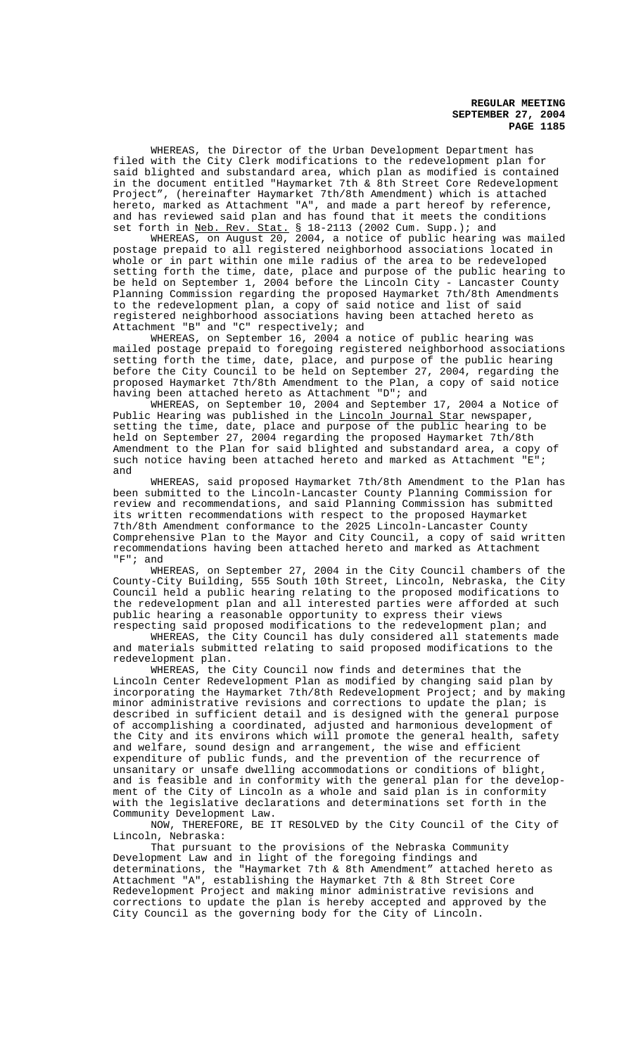WHEREAS, the Director of the Urban Development Department has filed with the City Clerk modifications to the redevelopment plan for said blighted and substandard area, which plan as modified is contained in the document entitled "Haymarket 7th & 8th Street Core Redevelopment Project", (hereinafter Haymarket 7th/8th Amendment) which is attached hereto, marked as Attachment "A", and made a part hereof by reference, and has reviewed said plan and has found that it meets the conditions set forth in Neb. Rev. Stat. § 18-2113 (2002 Cum. Supp.); and

WHEREAS, on August 20, 2004, a notice of public hearing was mailed postage prepaid to all registered neighborhood associations located in whole or in part within one mile radius of the area to be redeveloped setting forth the time, date, place and purpose of the public hearing to be held on September 1, 2004 before the Lincoln City - Lancaster County Planning Commission regarding the proposed Haymarket 7th/8th Amendments to the redevelopment plan, a copy of said notice and list of said registered neighborhood associations having been attached hereto as Attachment "B" and "C" respectively; and

WHEREAS, on September 16, 2004 a notice of public hearing was mailed postage prepaid to foregoing registered neighborhood associations setting forth the time, date, place, and purpose of the public hearing before the City Council to be held on September 27, 2004, regarding the proposed Haymarket 7th/8th Amendment to the Plan, a copy of said notice having been attached hereto as Attachment "D"; and

WHEREAS, on September 10, 2004 and September 17, 2004 a Notice of Public Hearing was published in the Lincoln Journal Star newspaper, setting the time, date, place and purpose of the public hearing to be held on September 27, 2004 regarding the proposed Haymarket 7th/8th Amendment to the Plan for said blighted and substandard area, a copy of such notice having been attached hereto and marked as Attachment "E"; and

WHEREAS, said proposed Haymarket 7th/8th Amendment to the Plan has been submitted to the Lincoln-Lancaster County Planning Commission for review and recommendations, and said Planning Commission has submitted its written recommendations with respect to the proposed Haymarket 7th/8th Amendment conformance to the 2025 Lincoln-Lancaster County Comprehensive Plan to the Mayor and City Council, a copy of said written recommendations having been attached hereto and marked as Attachment "F"; and

WHEREAS, on September 27, 2004 in the City Council chambers of the County-City Building, 555 South 10th Street, Lincoln, Nebraska, the City Council held a public hearing relating to the proposed modifications to the redevelopment plan and all interested parties were afforded at such public hearing a reasonable opportunity to express their views respecting said proposed modifications to the redevelopment plan; and

WHEREAS, the City Council has duly considered all statements made and materials submitted relating to said proposed modifications to the redevelopment plan.

WHEREAS, the City Council now finds and determines that the Lincoln Center Redevelopment Plan as modified by changing said plan by incorporating the Haymarket 7th/8th Redevelopment Project; and by making minor administrative revisions and corrections to update the plan; is described in sufficient detail and is designed with the general purpose of accomplishing a coordinated, adjusted and harmonious development of the City and its environs which will promote the general health, safety and welfare, sound design and arrangement, the wise and efficient expenditure of public funds, and the prevention of the recurrence of unsanitary or unsafe dwelling accommodations or conditions of blight, and is feasible and in conformity with the general plan for the development of the City of Lincoln as a whole and said plan is in conformity with the legislative declarations and determinations set forth in the Community Development Law.

NOW, THEREFORE, BE IT RESOLVED by the City Council of the City of Lincoln, Nebraska:

That pursuant to the provisions of the Nebraska Community Development Law and in light of the foregoing findings and determinations, the "Haymarket 7th & 8th Amendment" attached hereto as Attachment "A", establishing the Haymarket 7th & 8th Street Core Redevelopment Project and making minor administrative revisions and corrections to update the plan is hereby accepted and approved by the City Council as the governing body for the City of Lincoln.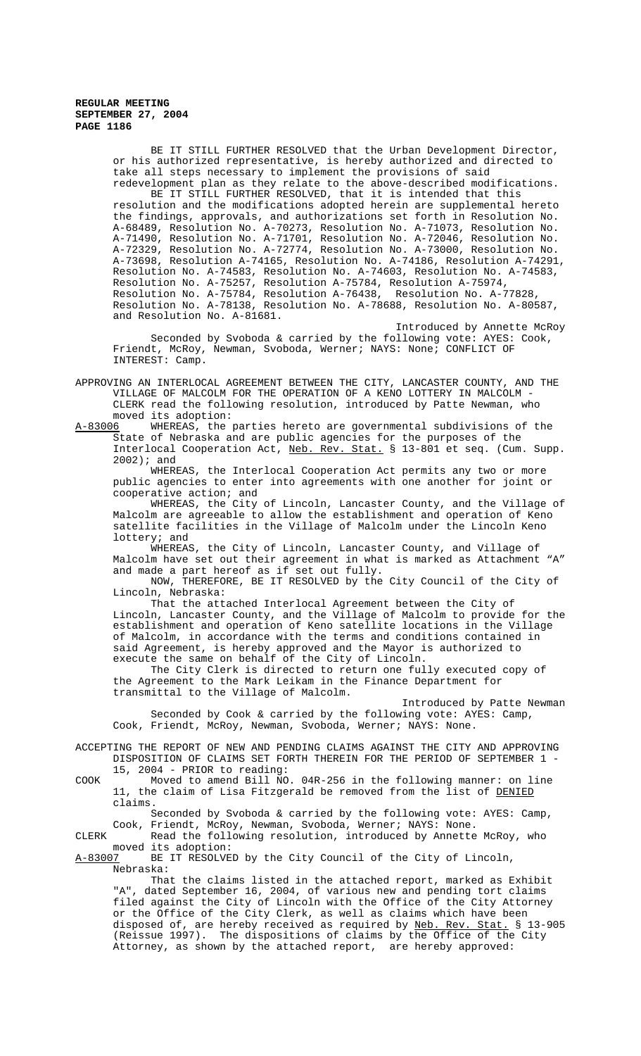BE IT STILL FURTHER RESOLVED that the Urban Development Director, or his authorized representative, is hereby authorized and directed to take all steps necessary to implement the provisions of said redevelopment plan as they relate to the above-described modifications.

BE IT STILL FURTHER RESOLVED, that it is intended that this resolution and the modifications adopted herein are supplemental hereto the findings, approvals, and authorizations set forth in Resolution No. A-68489, Resolution No. A-70273, Resolution No. A-71073, Resolution No. A-71490, Resolution No. A-71701, Resolution No. A-72046, Resolution No. A-72329, Resolution No. A-72774, Resolution No. A-73000, Resolution No. A-73698, Resolution A-74165, Resolution No. A-74186, Resolution A-74291, Resolution No. A-74583, Resolution No. A-74603, Resolution No. A-74583, Resolution No. A-75257, Resolution A-75784, Resolution A-75974, Resolution No. A-75784, Resolution A-76438, Resolution No. A-77828, Resolution No. A-78138, Resolution No. A-78688, Resolution No. A-80587, and Resolution No. A-81681.

Introduced by Annette McRoy Seconded by Svoboda & carried by the following vote: AYES: Cook, Friendt, McRoy, Newman, Svoboda, Werner; NAYS: None; CONFLICT OF INTEREST: Camp.

APPROVING AN INTERLOCAL AGREEMENT BETWEEN THE CITY, LANCASTER COUNTY, AND THE VILLAGE OF MALCOLM FOR THE OPERATION OF A KENO LOTTERY IN MALCOLM - CLERK read the following resolution, introduced by Patte Newman, who moved its adoption:<br>A-83006 WHEREAS, the

WHEREAS, the parties hereto are governmental subdivisions of the State of Nebraska and are public agencies for the purposes of the Interlocal Cooperation Act, Neb. Rev. Stat. § 13-801 et seq. (Cum. Supp. 2002); and

WHEREAS, the Interlocal Cooperation Act permits any two or more public agencies to enter into agreements with one another for joint or cooperative action; and

WHEREAS, the City of Lincoln, Lancaster County, and the Village of Malcolm are agreeable to allow the establishment and operation of Keno satellite facilities in the Village of Malcolm under the Lincoln Keno lottery; and

WHEREAS, the City of Lincoln, Lancaster County, and Village of Malcolm have set out their agreement in what is marked as Attachment "A" and made a part hereof as if set out fully.

NOW, THEREFORE, BE IT RESOLVED by the City Council of the City of Lincoln, Nebraska:

That the attached Interlocal Agreement between the City of Lincoln, Lancaster County, and the Village of Malcolm to provide for the establishment and operation of Keno satellite locations in the Village of Malcolm, in accordance with the terms and conditions contained in said Agreement, is hereby approved and the Mayor is authorized to execute the same on behalf of the City of Lincoln.

The City Clerk is directed to return one fully executed copy of the Agreement to the Mark Leikam in the Finance Department for transmittal to the Village of Malcolm.

Introduced by Patte Newman Seconded by Cook & carried by the following vote: AYES: Camp, Cook, Friendt, McRoy, Newman, Svoboda, Werner; NAYS: None.

ACCEPTING THE REPORT OF NEW AND PENDING CLAIMS AGAINST THE CITY AND APPROVING DISPOSITION OF CLAIMS SET FORTH THEREIN FOR THE PERIOD OF SEPTEMBER 1 - 15, 2004 - PRIOR to reading:

COOK Moved to amend Bill NO. 04R-256 in the following manner: on line 11, the claim of Lisa Fitzgerald be removed from the list of DENIED claims.

Seconded by Svoboda & carried by the following vote: AYES: Camp, Cook, Friendt, McRoy, Newman, Svoboda, Werner; NAYS: None.

CLERK Read the following resolution, introduced by Annette McRoy, who moved its adoption:<br>A-83007 BE IT RESOLVE

BE IT RESOLVED by the City Council of the City of Lincoln, Nebraska:

That the claims listed in the attached report, marked as Exhibit "A", dated September 16, 2004, of various new and pending tort claims filed against the City of Lincoln with the Office of the City Attorney or the Office of the City Clerk, as well as claims which have been disposed of, are hereby received as required by Neb. Rev. Stat. § 13-905 (Reissue 1997). The dispositions of claims by the Office of the City Attorney, as shown by the attached report, are hereby approved: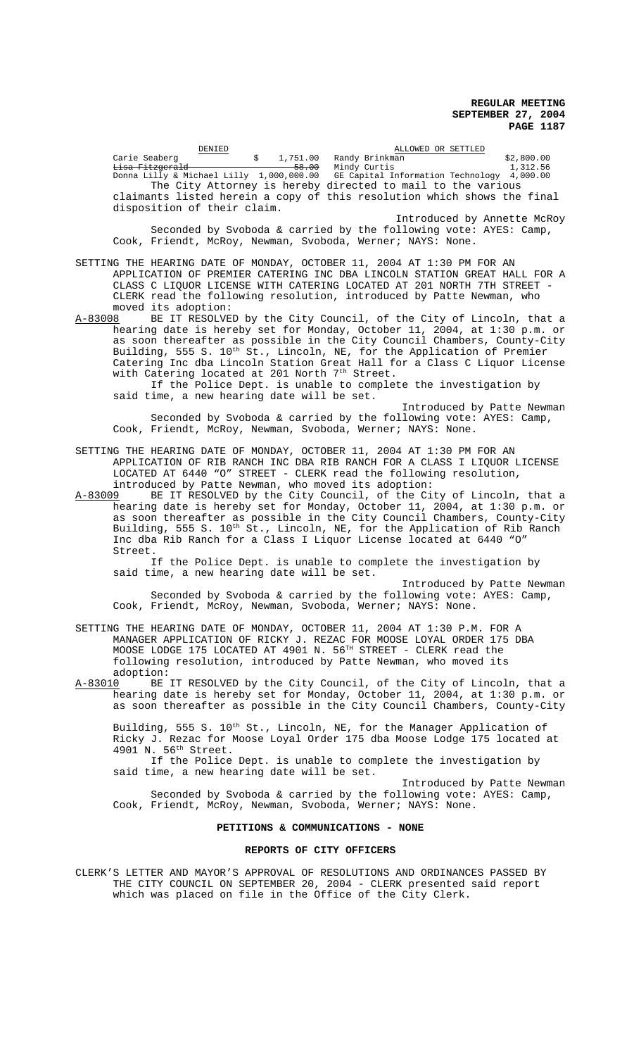|         | DENIED                                                                                                   |            |                                                                                                                                                | ALLOWED OR SETTLED                                                                                                                                                                                                                                                                                                                                                               |
|---------|----------------------------------------------------------------------------------------------------------|------------|------------------------------------------------------------------------------------------------------------------------------------------------|----------------------------------------------------------------------------------------------------------------------------------------------------------------------------------------------------------------------------------------------------------------------------------------------------------------------------------------------------------------------------------|
|         | Carie Seaberg<br><del>Lisa Fitzgerald</del>                                                              | $\ddot{s}$ | 1,751.00 Randy Brinkman<br>58.00 Mindy Curtis<br>The City Attorney is hereby directed to mail to the various                                   | \$2,800.00<br>1,312.56<br>Donna Lilly & Michael Lilly 1,000,000.00 GE Capital Information Technology 4,000.00                                                                                                                                                                                                                                                                    |
|         | disposition of their claim.                                                                              |            |                                                                                                                                                | claimants listed herein a copy of this resolution which shows the final                                                                                                                                                                                                                                                                                                          |
|         |                                                                                                          |            | Cook, Friendt, McRoy, Newman, Svoboda, Werner; NAYS: None.                                                                                     | Introduced by Annette McRoy<br>Seconded by Svoboda & carried by the following vote: AYES: Camp,                                                                                                                                                                                                                                                                                  |
|         | moved its adoption:                                                                                      |            | SETTING THE HEARING DATE OF MONDAY, OCTOBER 11, 2004 AT 1:30 PM FOR AN<br>CLERK read the following resolution, introduced by Patte Newman, who | APPLICATION OF PREMIER CATERING INC DBA LINCOLN STATION GREAT HALL FOR A<br>CLASS C LIQUOR LICENSE WITH CATERING LOCATED AT 201 NORTH 7TH STREET -                                                                                                                                                                                                                               |
| A-83008 | with Catering located at 201 North 7 <sup>th</sup> Street.<br>said time, a new hearing date will be set. |            | If the Police Dept. is unable to complete the investigation by                                                                                 | BE IT RESOLVED by the City Council, of the City of Lincoln, that a<br>hearing date is hereby set for Monday, October 11, 2004, at 1:30 p.m. or<br>as soon thereafter as possible in the City Council Chambers, County-City<br>Building, 555 S. 10th St., Lincoln, NE, for the Application of Premier<br>Catering Inc dba Lincoln Station Great Hall for a Class C Liquor License |

Introduced by Patte Newman Seconded by Svoboda & carried by the following vote: AYES: Camp, Cook, Friendt, McRoy, Newman, Svoboda, Werner; NAYS: None.

SETTING THE HEARING DATE OF MONDAY, OCTOBER 11, 2004 AT 1:30 PM FOR AN APPLICATION OF RIB RANCH INC DBA RIB RANCH FOR A CLASS I LIQUOR LICENSE LOCATED AT 6440 "O" STREET - CLERK read the following resolution, introduced by Patte Newman, who moved its adoption:

A-83009 BE IT RESOLVED by the City Council, of the City of Lincoln, that a hearing date is hereby set for Monday, October 11, 2004, at 1:30 p.m. or as soon thereafter as possible in the City Council Chambers, County-City Building, 555 S. 10<sup>th</sup> St., Lincoln, NE, for the Application of Rib Ranch Inc dba Rib Ranch for a Class I Liquor License located at 6440 "O" Street.

If the Police Dept. is unable to complete the investigation by said time, a new hearing date will be set.

Introduced by Patte Newman Seconded by Svoboda & carried by the following vote: AYES: Camp, Cook, Friendt, McRoy, Newman, Svoboda, Werner; NAYS: None.

SETTING THE HEARING DATE OF MONDAY, OCTOBER 11, 2004 AT 1:30 P.M. FOR A MANAGER APPLICATION OF RICKY J. REZAC FOR MOOSE LOYAL ORDER 175 DBA MOOSE LODGE 175 LOCATED AT 4901 N. 56<sup>TH</sup> STREET - CLERK read the following resolution, introduced by Patte Newman, who moved its adoption:<br>A-83010 BE

A-83010 BE IT RESOLVED by the City Council, of the City of Lincoln, that a hearing date is hereby set for Monday, October 11, 2004, at 1:30 p.m. or as soon thereafter as possible in the City Council Chambers, County-City

Building, 555 S. 10<sup>th</sup> St., Lincoln, NE, for the Manager Application of Ricky J. Rezac for Moose Loyal Order 175 dba Moose Lodge 175 located at 4901 N. 56<sup>th</sup> Street.

If the Police Dept. is unable to complete the investigation by said time, a new hearing date will be set.

Introduced by Patte Newman Seconded by Svoboda & carried by the following vote: AYES: Camp, Cook, Friendt, McRoy, Newman, Svoboda, Werner; NAYS: None.

# **PETITIONS & COMMUNICATIONS - NONE**

#### **REPORTS OF CITY OFFICERS**

CLERK'S LETTER AND MAYOR'S APPROVAL OF RESOLUTIONS AND ORDINANCES PASSED BY THE CITY COUNCIL ON SEPTEMBER 20, 2004 - CLERK presented said report which was placed on file in the Office of the City Clerk.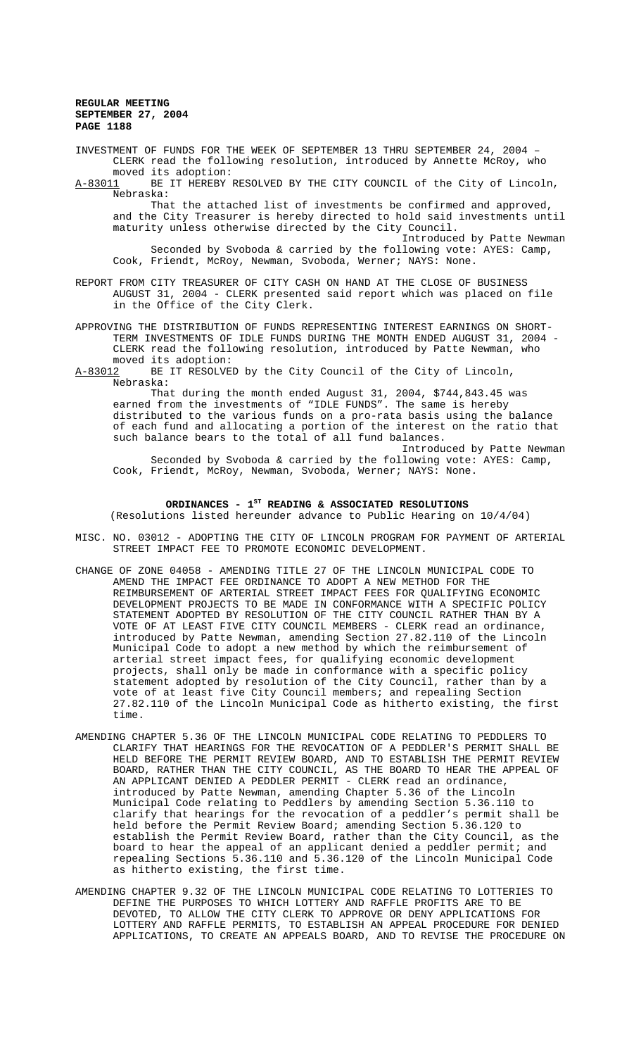INVESTMENT OF FUNDS FOR THE WEEK OF SEPTEMBER 13 THRU SEPTEMBER 24, 2004 – CLERK read the following resolution, introduced by Annette McRoy, who moved its adoption:<br>A-83011 BE IT HEREBY

BE IT HEREBY RESOLVED BY THE CITY COUNCIL of the City of Lincoln, Nebraska:

That the attached list of investments be confirmed and approved, and the City Treasurer is hereby directed to hold said investments until maturity unless otherwise directed by the City Council.

Introduced by Patte Newman Seconded by Svoboda & carried by the following vote: AYES: Camp, Cook, Friendt, McRoy, Newman, Svoboda, Werner; NAYS: None.

REPORT FROM CITY TREASURER OF CITY CASH ON HAND AT THE CLOSE OF BUSINESS AUGUST 31, 2004 - CLERK presented said report which was placed on file in the Office of the City Clerk.

APPROVING THE DISTRIBUTION OF FUNDS REPRESENTING INTEREST EARNINGS ON SHORT-TERM INVESTMENTS OF IDLE FUNDS DURING THE MONTH ENDED AUGUST 31, 2004 - CLERK read the following resolution, introduced by Patte Newman, who moved its adoption:

A-83012 BE IT RESOLVED by the City Council of the City of Lincoln, Nebraska:

That during the month ended August 31, 2004, \$744,843.45 was earned from the investments of "IDLE FUNDS". The same is hereby distributed to the various funds on a pro-rata basis using the balance of each fund and allocating a portion of the interest on the ratio that such balance bears to the total of all fund balances.

Introduced by Patte Newman Seconded by Svoboda & carried by the following vote: AYES: Camp, Cook, Friendt, McRoy, Newman, Svoboda, Werner; NAYS: None.

# ORDINANCES - 1<sup>st</sup> READING & ASSOCIATED RESOLUTIONS

(Resolutions listed hereunder advance to Public Hearing on 10/4/04)

- MISC. NO. 03012 ADOPTING THE CITY OF LINCOLN PROGRAM FOR PAYMENT OF ARTERIAL STREET IMPACT FEE TO PROMOTE ECONOMIC DEVELOPMENT.
- CHANGE OF ZONE 04058 AMENDING TITLE 27 OF THE LINCOLN MUNICIPAL CODE TO AMEND THE IMPACT FEE ORDINANCE TO ADOPT A NEW METHOD FOR THE REIMBURSEMENT OF ARTERIAL STREET IMPACT FEES FOR QUALIFYING ECONOMIC DEVELOPMENT PROJECTS TO BE MADE IN CONFORMANCE WITH A SPECIFIC POLICY STATEMENT ADOPTED BY RESOLUTION OF THE CITY COUNCIL RATHER THAN BY A VOTE OF AT LEAST FIVE CITY COUNCIL MEMBERS - CLERK read an ordinance, introduced by Patte Newman, amending Section 27.82.110 of the Lincoln Municipal Code to adopt a new method by which the reimbursement of arterial street impact fees, for qualifying economic development projects, shall only be made in conformance with a specific policy statement adopted by resolution of the City Council, rather than by a vote of at least five City Council members; and repealing Section 27.82.110 of the Lincoln Municipal Code as hitherto existing, the first time.
- AMENDING CHAPTER 5.36 OF THE LINCOLN MUNICIPAL CODE RELATING TO PEDDLERS TO CLARIFY THAT HEARINGS FOR THE REVOCATION OF A PEDDLER'S PERMIT SHALL BE HELD BEFORE THE PERMIT REVIEW BOARD, AND TO ESTABLISH THE PERMIT REVIEW BOARD, RATHER THAN THE CITY COUNCIL, AS THE BOARD TO HEAR THE APPEAL OF AN APPLICANT DENIED A PEDDLER PERMIT - CLERK read an ordinance, introduced by Patte Newman, amending Chapter 5.36 of the Lincoln Municipal Code relating to Peddlers by amending Section 5.36.110 to clarify that hearings for the revocation of a peddler's permit shall be held before the Permit Review Board; amending Section 5.36.120 to establish the Permit Review Board, rather than the City Council, as the board to hear the appeal of an applicant denied a peddler permit; and repealing Sections 5.36.110 and 5.36.120 of the Lincoln Municipal Code as hitherto existing, the first time.
- AMENDING CHAPTER 9.32 OF THE LINCOLN MUNICIPAL CODE RELATING TO LOTTERIES TO DEFINE THE PURPOSES TO WHICH LOTTERY AND RAFFLE PROFITS ARE TO BE DEVOTED, TO ALLOW THE CITY CLERK TO APPROVE OR DENY APPLICATIONS FOR LOTTERY AND RAFFLE PERMITS, TO ESTABLISH AN APPEAL PROCEDURE FOR DENIED APPLICATIONS, TO CREATE AN APPEALS BOARD, AND TO REVISE THE PROCEDURE ON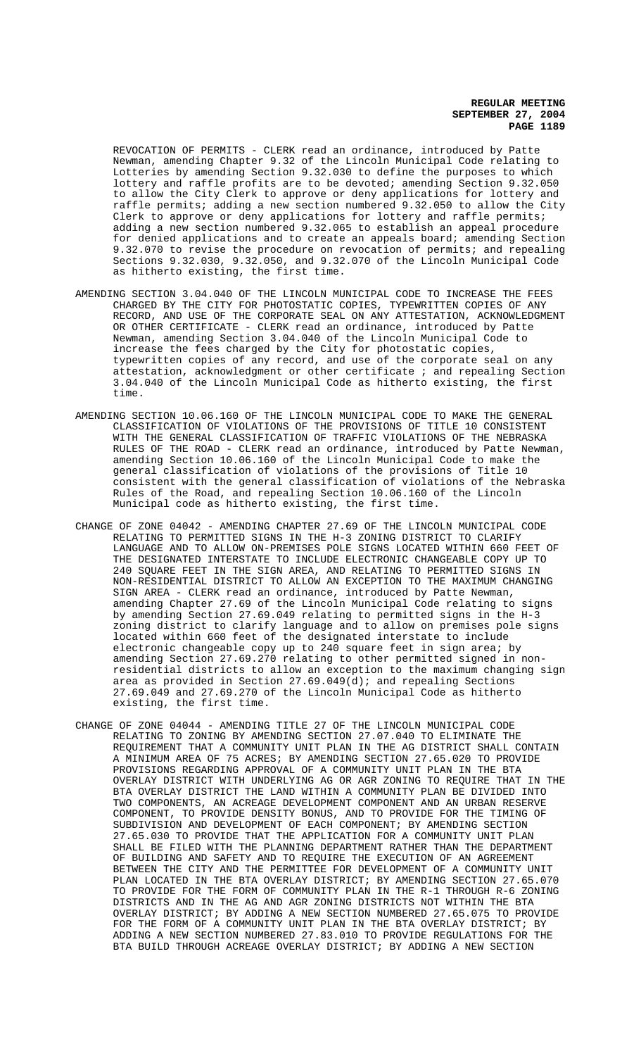REVOCATION OF PERMITS - CLERK read an ordinance, introduced by Patte Newman, amending Chapter 9.32 of the Lincoln Municipal Code relating to Lotteries by amending Section 9.32.030 to define the purposes to which lottery and raffle profits are to be devoted; amending Section 9.32.050 to allow the City Clerk to approve or deny applications for lottery and raffle permits; adding a new section numbered 9.32.050 to allow the City Clerk to approve or deny applications for lottery and raffle permits; adding a new section numbered 9.32.065 to establish an appeal procedure for denied applications and to create an appeals board; amending Section 9.32.070 to revise the procedure on revocation of permits; and repealing Sections 9.32.030, 9.32.050, and 9.32.070 of the Lincoln Municipal Code as hitherto existing, the first time.

- AMENDING SECTION 3.04.040 OF THE LINCOLN MUNICIPAL CODE TO INCREASE THE FEES CHARGED BY THE CITY FOR PHOTOSTATIC COPIES, TYPEWRITTEN COPIES OF ANY RECORD, AND USE OF THE CORPORATE SEAL ON ANY ATTESTATION, ACKNOWLEDGMENT OR OTHER CERTIFICATE - CLERK read an ordinance, introduced by Patte Newman, amending Section 3.04.040 of the Lincoln Municipal Code to increase the fees charged by the City for photostatic copies, typewritten copies of any record, and use of the corporate seal on any attestation, acknowledgment or other certificate  $i$  and repealing Section 3.04.040 of the Lincoln Municipal Code as hitherto existing, the first time.
- AMENDING SECTION 10.06.160 OF THE LINCOLN MUNICIPAL CODE TO MAKE THE GENERAL CLASSIFICATION OF VIOLATIONS OF THE PROVISIONS OF TITLE 10 CONSISTENT WITH THE GENERAL CLASSIFICATION OF TRAFFIC VIOLATIONS OF THE NEBRASKA RULES OF THE ROAD - CLERK read an ordinance, introduced by Patte Newman, amending Section 10.06.160 of the Lincoln Municipal Code to make the general classification of violations of the provisions of Title 10 consistent with the general classification of violations of the Nebraska Rules of the Road, and repealing Section 10.06.160 of the Lincoln Municipal code as hitherto existing, the first time.
- CHANGE OF ZONE 04042 AMENDING CHAPTER 27.69 OF THE LINCOLN MUNICIPAL CODE RELATING TO PERMITTED SIGNS IN THE H-3 ZONING DISTRICT TO CLARIFY LANGUAGE AND TO ALLOW ON-PREMISES POLE SIGNS LOCATED WITHIN 660 FEET OF THE DESIGNATED INTERSTATE TO INCLUDE ELECTRONIC CHANGEABLE COPY UP TO 240 SQUARE FEET IN THE SIGN AREA, AND RELATING TO PERMITTED SIGNS IN NON-RESIDENTIAL DISTRICT TO ALLOW AN EXCEPTION TO THE MAXIMUM CHANGING SIGN AREA - CLERK read an ordinance, introduced by Patte Newman, amending Chapter 27.69 of the Lincoln Municipal Code relating to signs by amending Section 27.69.049 relating to permitted signs in the H-3 zoning district to clarify language and to allow on premises pole signs located within 660 feet of the designated interstate to include electronic changeable copy up to 240 square feet in sign area; by amending Section 27.69.270 relating to other permitted signed in nonresidential districts to allow an exception to the maximum changing sign area as provided in Section 27.69.049(d); and repealing Sections 27.69.049 and 27.69.270 of the Lincoln Municipal Code as hitherto existing, the first time.
- CHANGE OF ZONE 04044 AMENDING TITLE 27 OF THE LINCOLN MUNICIPAL CODE RELATING TO ZONING BY AMENDING SECTION 27.07.040 TO ELIMINATE THE REQUIREMENT THAT A COMMUNITY UNIT PLAN IN THE AG DISTRICT SHALL CONTAIN A MINIMUM AREA OF 75 ACRES; BY AMENDING SECTION 27.65.020 TO PROVIDE PROVISIONS REGARDING APPROVAL OF A COMMUNITY UNIT PLAN IN THE BTA OVERLAY DISTRICT WITH UNDERLYING AG OR AGR ZONING TO REQUIRE THAT IN THE BTA OVERLAY DISTRICT THE LAND WITHIN A COMMUNITY PLAN BE DIVIDED INTO TWO COMPONENTS, AN ACREAGE DEVELOPMENT COMPONENT AND AN URBAN RESERVE COMPONENT, TO PROVIDE DENSITY BONUS, AND TO PROVIDE FOR THE TIMING OF SUBDIVISION AND DEVELOPMENT OF EACH COMPONENT; BY AMENDING SECTION 27.65.030 TO PROVIDE THAT THE APPLICATION FOR A COMMUNITY UNIT PLAN SHALL BE FILED WITH THE PLANNING DEPARTMENT RATHER THAN THE DEPARTMENT OF BUILDING AND SAFETY AND TO REQUIRE THE EXECUTION OF AN AGREEMENT BETWEEN THE CITY AND THE PERMITTEE FOR DEVELOPMENT OF A COMMUNITY UNIT PLAN LOCATED IN THE BTA OVERLAY DISTRICT; BY AMENDING SECTION 27.65.070 TO PROVIDE FOR THE FORM OF COMMUNITY PLAN IN THE R-1 THROUGH R-6 ZONING DISTRICTS AND IN THE AG AND AGR ZONING DISTRICTS NOT WITHIN THE BTA OVERLAY DISTRICT; BY ADDING A NEW SECTION NUMBERED 27.65.075 TO PROVIDE FOR THE FORM OF A COMMUNITY UNIT PLAN IN THE BTA OVERLAY DISTRICT; BY ADDING A NEW SECTION NUMBERED 27.83.010 TO PROVIDE REGULATIONS FOR THE BTA BUILD THROUGH ACREAGE OVERLAY DISTRICT; BY ADDING A NEW SECTION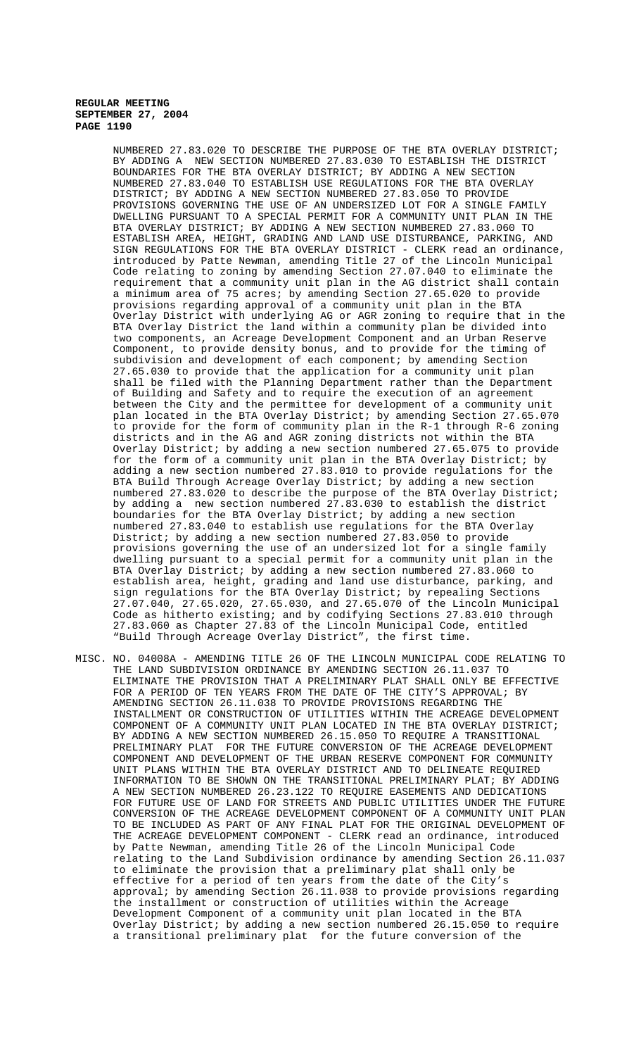NUMBERED 27.83.020 TO DESCRIBE THE PURPOSE OF THE BTA OVERLAY DISTRICT; BY ADDING A NEW SECTION NUMBERED 27.83.030 TO ESTABLISH THE DISTRICT BOUNDARIES FOR THE BTA OVERLAY DISTRICT; BY ADDING A NEW SECTION NUMBERED 27.83.040 TO ESTABLISH USE REGULATIONS FOR THE BTA OVERLAY DISTRICT; BY ADDING A NEW SECTION NUMBERED 27.83.050 TO PROVIDE PROVISIONS GOVERNING THE USE OF AN UNDERSIZED LOT FOR A SINGLE FAMILY DWELLING PURSUANT TO A SPECIAL PERMIT FOR A COMMUNITY UNIT PLAN IN THE BTA OVERLAY DISTRICT; BY ADDING A NEW SECTION NUMBERED 27.83.060 TO ESTABLISH AREA, HEIGHT, GRADING AND LAND USE DISTURBANCE, PARKING, AND SIGN REGULATIONS FOR THE BTA OVERLAY DISTRICT - CLERK read an ordinance, introduced by Patte Newman, amending Title 27 of the Lincoln Municipal Code relating to zoning by amending Section 27.07.040 to eliminate the requirement that a community unit plan in the AG district shall contain a minimum area of 75 acres; by amending Section 27.65.020 to provide provisions regarding approval of a community unit plan in the BTA Overlay District with underlying AG or AGR zoning to require that in the BTA Overlay District the land within a community plan be divided into two components, an Acreage Development Component and an Urban Reserve Component, to provide density bonus, and to provide for the timing of subdivision and development of each component; by amending Section 27.65.030 to provide that the application for a community unit plan shall be filed with the Planning Department rather than the Department of Building and Safety and to require the execution of an agreement between the City and the permittee for development of a community unit plan located in the BTA Overlay District; by amending Section 27.65.070 to provide for the form of community plan in the R-1 through R-6 zoning districts and in the AG and AGR zoning districts not within the BTA Overlay District; by adding a new section numbered 27.65.075 to provide for the form of a community unit plan in the BTA Overlay District; by adding a new section numbered 27.83.010 to provide regulations for the BTA Build Through Acreage Overlay District; by adding a new section numbered 27.83.020 to describe the purpose of the BTA Overlay District; by adding a new section numbered 27.83.030 to establish the district boundaries for the BTA Overlay District; by adding a new section numbered 27.83.040 to establish use regulations for the BTA Overlay District; by adding a new section numbered 27.83.050 to provide provisions governing the use of an undersized lot for a single family dwelling pursuant to a special permit for a community unit plan in the BTA Overlay District; by adding a new section numbered 27.83.060 to establish area, height, grading and land use disturbance, parking, and sign regulations for the BTA Overlay District; by repealing Sections 27.07.040, 27.65.020, 27.65.030, and 27.65.070 of the Lincoln Municipal Code as hitherto existing; and by codifying Sections 27.83.010 through 27.83.060 as Chapter 27.83 of the Lincoln Municipal Code, entitled "Build Through Acreage Overlay District", the first time.

MISC. NO. 04008A - AMENDING TITLE 26 OF THE LINCOLN MUNICIPAL CODE RELATING TO THE LAND SUBDIVISION ORDINANCE BY AMENDING SECTION 26.11.037 TO ELIMINATE THE PROVISION THAT A PRELIMINARY PLAT SHALL ONLY BE EFFECTIVE FOR A PERIOD OF TEN YEARS FROM THE DATE OF THE CITY'S APPROVAL; BY AMENDING SECTION 26.11.038 TO PROVIDE PROVISIONS REGARDING THE INSTALLMENT OR CONSTRUCTION OF UTILITIES WITHIN THE ACREAGE DEVELOPMENT COMPONENT OF A COMMUNITY UNIT PLAN LOCATED IN THE BTA OVERLAY DISTRICT; BY ADDING A NEW SECTION NUMBERED 26.15.050 TO REQUIRE A TRANSITIONAL PRELIMINARY PLAT FOR THE FUTURE CONVERSION OF THE ACREAGE DEVELOPMENT COMPONENT AND DEVELOPMENT OF THE URBAN RESERVE COMPONENT FOR COMMUNITY UNIT PLANS WITHIN THE BTA OVERLAY DISTRICT AND TO DELINEATE REQUIRED INFORMATION TO BE SHOWN ON THE TRANSITIONAL PRELIMINARY PLAT; BY ADDING A NEW SECTION NUMBERED 26.23.122 TO REQUIRE EASEMENTS AND DEDICATIONS FOR FUTURE USE OF LAND FOR STREETS AND PUBLIC UTILITIES UNDER THE FUTURE CONVERSION OF THE ACREAGE DEVELOPMENT COMPONENT OF A COMMUNITY UNIT PLAN TO BE INCLUDED AS PART OF ANY FINAL PLAT FOR THE ORIGINAL DEVELOPMENT OF THE ACREAGE DEVELOPMENT COMPONENT - CLERK read an ordinance, introduced by Patte Newman, amending Title 26 of the Lincoln Municipal Code relating to the Land Subdivision ordinance by amending Section 26.11.037 to eliminate the provision that a preliminary plat shall only be effective for a period of ten years from the date of the City's approval; by amending Section 26.11.038 to provide provisions regarding the installment or construction of utilities within the Acreage Development Component of a community unit plan located in the BTA Overlay District; by adding a new section numbered 26.15.050 to require a transitional preliminary plat for the future conversion of the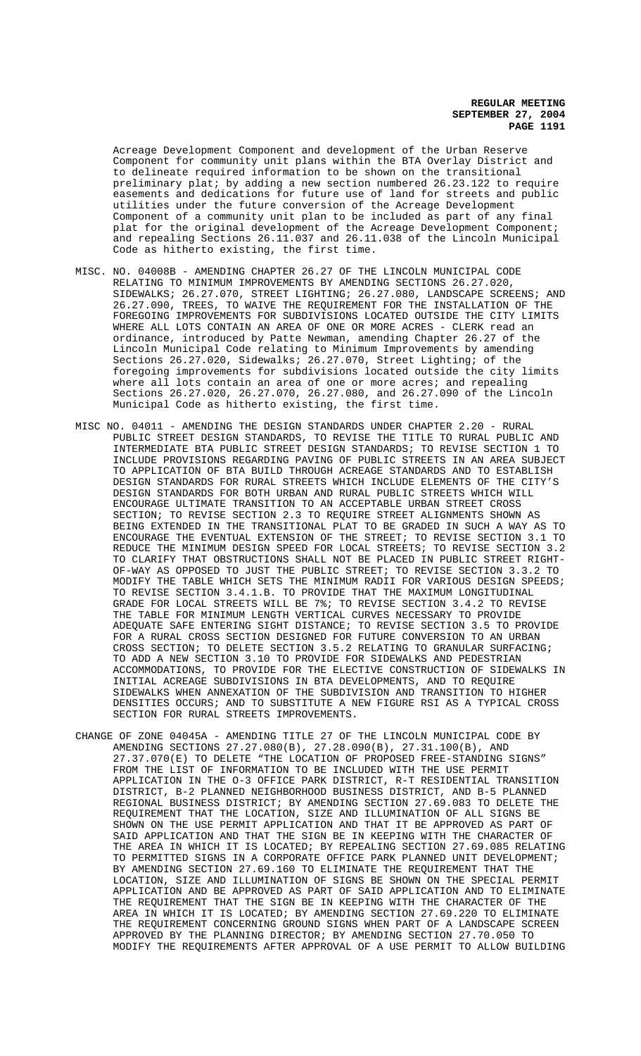Acreage Development Component and development of the Urban Reserve Component for community unit plans within the BTA Overlay District and to delineate required information to be shown on the transitional preliminary plat; by adding a new section numbered 26.23.122 to require easements and dedications for future use of land for streets and public utilities under the future conversion of the Acreage Development Component of a community unit plan to be included as part of any final plat for the original development of the Acreage Development Component; and repealing Sections 26.11.037 and 26.11.038 of the Lincoln Municipal Code as hitherto existing, the first time.

- MISC. NO. 04008B AMENDING CHAPTER 26.27 OF THE LINCOLN MUNICIPAL CODE RELATING TO MINIMUM IMPROVEMENTS BY AMENDING SECTIONS 26.27.020, SIDEWALKS; 26.27.070, STREET LIGHTING; 26.27.080, LANDSCAPE SCREENS; AND 26.27.090, TREES, TO WAIVE THE REQUIREMENT FOR THE INSTALLATION OF THE FOREGOING IMPROVEMENTS FOR SUBDIVISIONS LOCATED OUTSIDE THE CITY LIMITS WHERE ALL LOTS CONTAIN AN AREA OF ONE OR MORE ACRES - CLERK read an ordinance, introduced by Patte Newman, amending Chapter 26.27 of the Lincoln Municipal Code relating to Minimum Improvements by amending Sections 26.27.020, Sidewalks; 26.27.070, Street Lighting; of the foregoing improvements for subdivisions located outside the city limits where all lots contain an area of one or more acres; and repealing Sections 26.27.020, 26.27.070, 26.27.080, and 26.27.090 of the Lincoln Municipal Code as hitherto existing, the first time.
- MISC NO. 04011 AMENDING THE DESIGN STANDARDS UNDER CHAPTER 2.20 RURAL PUBLIC STREET DESIGN STANDARDS, TO REVISE THE TITLE TO RURAL PUBLIC AND INTERMEDIATE BTA PUBLIC STREET DESIGN STANDARDS; TO REVISE SECTION 1 TO INCLUDE PROVISIONS REGARDING PAVING OF PUBLIC STREETS IN AN AREA SUBJECT TO APPLICATION OF BTA BUILD THROUGH ACREAGE STANDARDS AND TO ESTABLISH DESIGN STANDARDS FOR RURAL STREETS WHICH INCLUDE ELEMENTS OF THE CITY'S DESIGN STANDARDS FOR BOTH URBAN AND RURAL PUBLIC STREETS WHICH WILL ENCOURAGE ULTIMATE TRANSITION TO AN ACCEPTABLE URBAN STREET CROSS SECTION; TO REVISE SECTION 2.3 TO REQUIRE STREET ALIGNMENTS SHOWN AS BEING EXTENDED IN THE TRANSITIONAL PLAT TO BE GRADED IN SUCH A WAY AS TO ENCOURAGE THE EVENTUAL EXTENSION OF THE STREET; TO REVISE SECTION 3.1 TO REDUCE THE MINIMUM DESIGN SPEED FOR LOCAL STREETS; TO REVISE SECTION 3.2 TO CLARIFY THAT OBSTRUCTIONS SHALL NOT BE PLACED IN PUBLIC STREET RIGHT-OF-WAY AS OPPOSED TO JUST THE PUBLIC STREET; TO REVISE SECTION 3.3.2 TO MODIFY THE TABLE WHICH SETS THE MINIMUM RADII FOR VARIOUS DESIGN SPEEDS; TO REVISE SECTION 3.4.1.B. TO PROVIDE THAT THE MAXIMUM LONGITUDINAL GRADE FOR LOCAL STREETS WILL BE 7%; TO REVISE SECTION 3.4.2 TO REVISE THE TABLE FOR MINIMUM LENGTH VERTICAL CURVES NECESSARY TO PROVIDE ADEQUATE SAFE ENTERING SIGHT DISTANCE; TO REVISE SECTION 3.5 TO PROVIDE FOR A RURAL CROSS SECTION DESIGNED FOR FUTURE CONVERSION TO AN URBAN CROSS SECTION; TO DELETE SECTION 3.5.2 RELATING TO GRANULAR SURFACING; TO ADD A NEW SECTION 3.10 TO PROVIDE FOR SIDEWALKS AND PEDESTRIAN ACCOMMODATIONS, TO PROVIDE FOR THE ELECTIVE CONSTRUCTION OF SIDEWALKS IN INITIAL ACREAGE SUBDIVISIONS IN BTA DEVELOPMENTS, AND TO REQUIRE SIDEWALKS WHEN ANNEXATION OF THE SUBDIVISION AND TRANSITION TO HIGHER DENSITIES OCCURS; AND TO SUBSTITUTE A NEW FIGURE RSI AS A TYPICAL CROSS SECTION FOR RURAL STREETS IMPROVEMENTS.
- CHANGE OF ZONE 04045A AMENDING TITLE 27 OF THE LINCOLN MUNICIPAL CODE BY AMENDING SECTIONS 27.27.080(B), 27.28.090(B), 27.31.100(B), AND 27.37.070(E) TO DELETE "THE LOCATION OF PROPOSED FREE-STANDING SIGNS" FROM THE LIST OF INFORMATION TO BE INCLUDED WITH THE USE PERMIT APPLICATION IN THE O-3 OFFICE PARK DISTRICT, R-T RESIDENTIAL TRANSITION DISTRICT, B-2 PLANNED NEIGHBORHOOD BUSINESS DISTRICT, AND B-5 PLANNED REGIONAL BUSINESS DISTRICT; BY AMENDING SECTION 27.69.083 TO DELETE THE REQUIREMENT THAT THE LOCATION, SIZE AND ILLUMINATION OF ALL SIGNS BE SHOWN ON THE USE PERMIT APPLICATION AND THAT IT BE APPROVED AS PART OF SAID APPLICATION AND THAT THE SIGN BE IN KEEPING WITH THE CHARACTER OF THE AREA IN WHICH IT IS LOCATED; BY REPEALING SECTION 27.69.085 RELATING TO PERMITTED SIGNS IN A CORPORATE OFFICE PARK PLANNED UNIT DEVELOPMENT; BY AMENDING SECTION 27.69.160 TO ELIMINATE THE REQUIREMENT THAT THE LOCATION, SIZE AND ILLUMINATION OF SIGNS BE SHOWN ON THE SPECIAL PERMIT APPLICATION AND BE APPROVED AS PART OF SAID APPLICATION AND TO ELIMINATE THE REQUIREMENT THAT THE SIGN BE IN KEEPING WITH THE CHARACTER OF THE AREA IN WHICH IT IS LOCATED; BY AMENDING SECTION 27.69.220 TO ELIMINATE THE REQUIREMENT CONCERNING GROUND SIGNS WHEN PART OF A LANDSCAPE SCREEN APPROVED BY THE PLANNING DIRECTOR; BY AMENDING SECTION 27.70.050 TO MODIFY THE REQUIREMENTS AFTER APPROVAL OF A USE PERMIT TO ALLOW BUILDING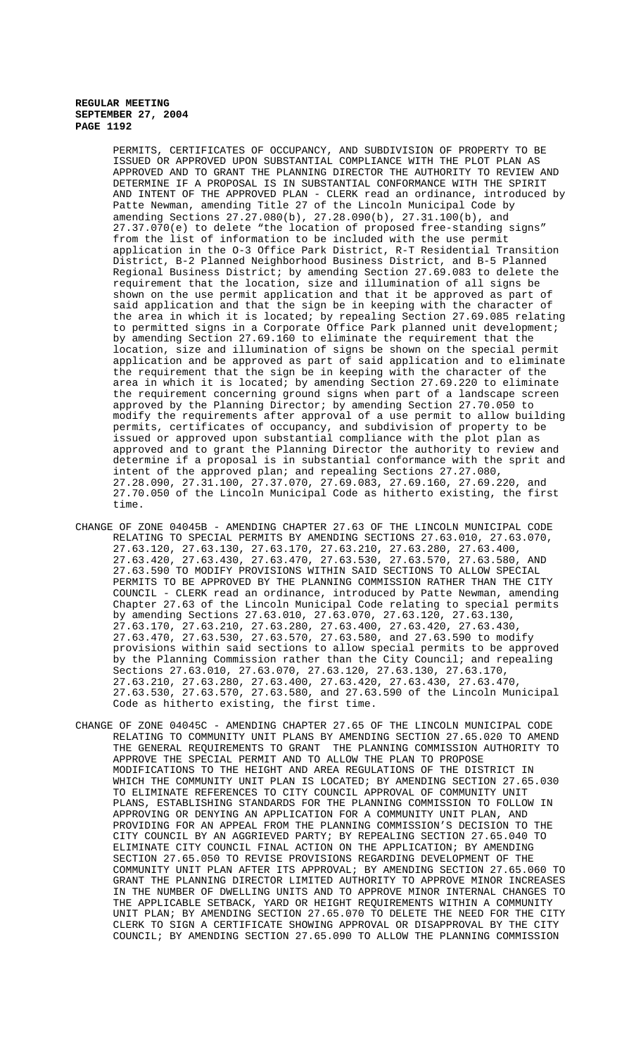PERMITS, CERTIFICATES OF OCCUPANCY, AND SUBDIVISION OF PROPERTY TO BE ISSUED OR APPROVED UPON SUBSTANTIAL COMPLIANCE WITH THE PLOT PLAN AS APPROVED AND TO GRANT THE PLANNING DIRECTOR THE AUTHORITY TO REVIEW AND DETERMINE IF A PROPOSAL IS IN SUBSTANTIAL CONFORMANCE WITH THE SPIRIT AND INTENT OF THE APPROVED PLAN - CLERK read an ordinance, introduced by Patte Newman, amending Title 27 of the Lincoln Municipal Code by amending Sections 27.27.080(b), 27.28.090(b), 27.31.100(b), and 27.37.070(e) to delete "the location of proposed free-standing signs" from the list of information to be included with the use permit application in the O-3 Office Park District, R-T Residential Transition District, B-2 Planned Neighborhood Business District, and B-5 Planned Regional Business District; by amending Section 27.69.083 to delete the requirement that the location, size and illumination of all signs be shown on the use permit application and that it be approved as part of said application and that the sign be in keeping with the character of the area in which it is located; by repealing Section 27.69.085 relating to permitted signs in a Corporate Office Park planned unit development; by amending Section 27.69.160 to eliminate the requirement that the location, size and illumination of signs be shown on the special permit application and be approved as part of said application and to eliminate the requirement that the sign be in keeping with the character of the area in which it is located; by amending Section 27.69.220 to eliminate the requirement concerning ground signs when part of a landscape screen approved by the Planning Director; by amending Section 27.70.050 to modify the requirements after approval of a use permit to allow building permits, certificates of occupancy, and subdivision of property to be issued or approved upon substantial compliance with the plot plan as approved and to grant the Planning Director the authority to review and determine if a proposal is in substantial conformance with the sprit and intent of the approved plan; and repealing Sections 27.27.080, 27.28.090, 27.31.100, 27.37.070, 27.69.083, 27.69.160, 27.69.220, and 27.70.050 of the Lincoln Municipal Code as hitherto existing, the first time.

- CHANGE OF ZONE 04045B AMENDING CHAPTER 27.63 OF THE LINCOLN MUNICIPAL CODE RELATING TO SPECIAL PERMITS BY AMENDING SECTIONS 27.63.010, 27.63.070, 27.63.120, 27.63.130, 27.63.170, 27.63.210, 27.63.280, 27.63.400, 27.63.420, 27.63.430, 27.63.470, 27.63.530, 27.63.570, 27.63.580, AND 27.63.590 TO MODIFY PROVISIONS WITHIN SAID SECTIONS TO ALLOW SPECIAL PERMITS TO BE APPROVED BY THE PLANNING COMMISSION RATHER THAN THE CITY COUNCIL - CLERK read an ordinance, introduced by Patte Newman, amending Chapter 27.63 of the Lincoln Municipal Code relating to special permits by amending Sections 27.63.010, 27.63.070, 27.63.120, 27.63.130, 27.63.170, 27.63.210, 27.63.280, 27.63.400, 27.63.420, 27.63.430, 27.63.470, 27.63.530, 27.63.570, 27.63.580, and 27.63.590 to modify provisions within said sections to allow special permits to be approved by the Planning Commission rather than the City Council; and repealing Sections 27.63.010, 27.63.070, 27.63.120, 27.63.130, 27.63.170, 27.63.210, 27.63.280, 27.63.400, 27.63.420, 27.63.430, 27.63.470, 27.63.530, 27.63.570, 27.63.580, and 27.63.590 of the Lincoln Municipal Code as hitherto existing, the first time.
- CHANGE OF ZONE 04045C AMENDING CHAPTER 27.65 OF THE LINCOLN MUNICIPAL CODE RELATING TO COMMUNITY UNIT PLANS BY AMENDING SECTION 27.65.020 TO AMEND THE GENERAL REQUIREMENTS TO GRANT THE PLANNING COMMISSION AUTHORITY TO APPROVE THE SPECIAL PERMIT AND TO ALLOW THE PLAN TO PROPOSE MODIFICATIONS TO THE HEIGHT AND AREA REGULATIONS OF THE DISTRICT IN WHICH THE COMMUNITY UNIT PLAN IS LOCATED; BY AMENDING SECTION 27.65.030 TO ELIMINATE REFERENCES TO CITY COUNCIL APPROVAL OF COMMUNITY UNIT PLANS, ESTABLISHING STANDARDS FOR THE PLANNING COMMISSION TO FOLLOW IN APPROVING OR DENYING AN APPLICATION FOR A COMMUNITY UNIT PLAN, AND PROVIDING FOR AN APPEAL FROM THE PLANNING COMMISSION'S DECISION TO THE CITY COUNCIL BY AN AGGRIEVED PARTY; BY REPEALING SECTION 27.65.040 TO ELIMINATE CITY COUNCIL FINAL ACTION ON THE APPLICATION; BY AMENDING SECTION 27.65.050 TO REVISE PROVISIONS REGARDING DEVELOPMENT OF THE COMMUNITY UNIT PLAN AFTER ITS APPROVAL; BY AMENDING SECTION 27.65.060 TO GRANT THE PLANNING DIRECTOR LIMITED AUTHORITY TO APPROVE MINOR INCREASES IN THE NUMBER OF DWELLING UNITS AND TO APPROVE MINOR INTERNAL CHANGES TO THE APPLICABLE SETBACK, YARD OR HEIGHT REQUIREMENTS WITHIN A COMMUNITY UNIT PLAN; BY AMENDING SECTION 27.65.070 TO DELETE THE NEED FOR THE CITY CLERK TO SIGN A CERTIFICATE SHOWING APPROVAL OR DISAPPROVAL BY THE CITY COUNCIL; BY AMENDING SECTION 27.65.090 TO ALLOW THE PLANNING COMMISSION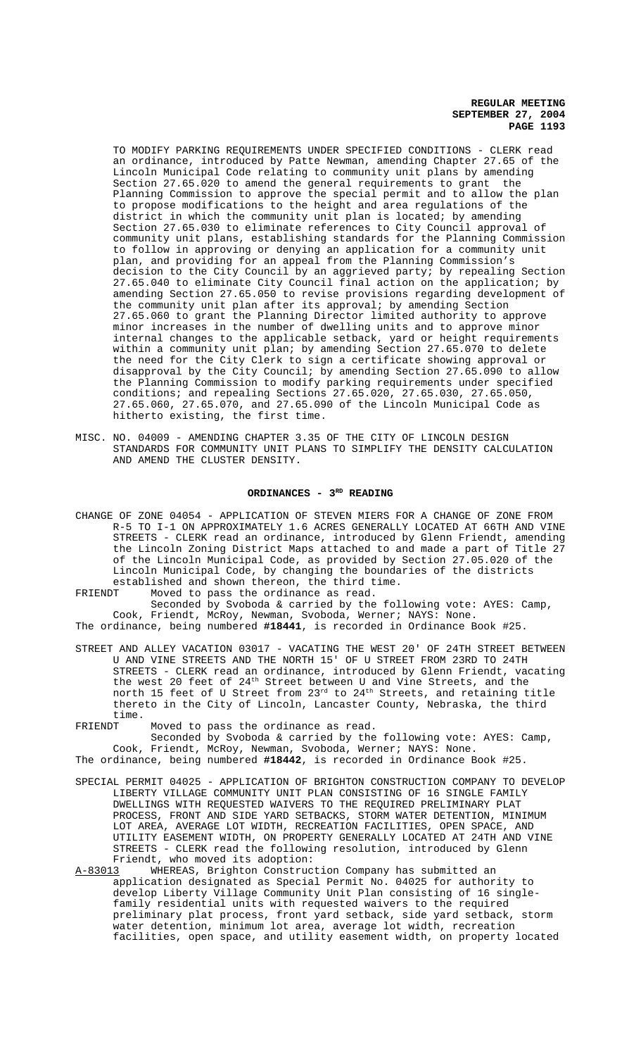TO MODIFY PARKING REQUIREMENTS UNDER SPECIFIED CONDITIONS - CLERK read an ordinance, introduced by Patte Newman, amending Chapter 27.65 of the Lincoln Municipal Code relating to community unit plans by amending Section 27.65.020 to amend the general requirements to grant the Planning Commission to approve the special permit and to allow the plan to propose modifications to the height and area regulations of the district in which the community unit plan is located; by amending Section 27.65.030 to eliminate references to City Council approval of community unit plans, establishing standards for the Planning Commission to follow in approving or denying an application for a community unit plan, and providing for an appeal from the Planning Commission's decision to the City Council by an aggrieved party; by repealing Section 27.65.040 to eliminate City Council final action on the application; by amending Section 27.65.050 to revise provisions regarding development of the community unit plan after its approval; by amending Section 27.65.060 to grant the Planning Director limited authority to approve minor increases in the number of dwelling units and to approve minor internal changes to the applicable setback, yard or height requirements within a community unit plan; by amending Section 27.65.070 to delete the need for the City Clerk to sign a certificate showing approval or disapproval by the City Council; by amending Section 27.65.090 to allow the Planning Commission to modify parking requirements under specified conditions; and repealing Sections 27.65.020, 27.65.030, 27.65.050, 27.65.060, 27.65.070, and 27.65.090 of the Lincoln Municipal Code as hitherto existing, the first time.

MISC. NO. 04009 - AMENDING CHAPTER 3.35 OF THE CITY OF LINCOLN DESIGN STANDARDS FOR COMMUNITY UNIT PLANS TO SIMPLIFY THE DENSITY CALCULATION AND AMEND THE CLUSTER DENSITY.

# ORDINANCES - 3<sup>RD</sup> READING

- CHANGE OF ZONE 04054 APPLICATION OF STEVEN MIERS FOR A CHANGE OF ZONE FROM R-5 TO I-1 ON APPROXIMATELY 1.6 ACRES GENERALLY LOCATED AT 66TH AND VINE STREETS - CLERK read an ordinance, introduced by Glenn Friendt, amending the Lincoln Zoning District Maps attached to and made a part of Title 27 of the Lincoln Municipal Code, as provided by Section 27.05.020 of the Lincoln Municipal Code, by changing the boundaries of the districts established and shown thereon, the third time.<br>FRIENDT Moved to pass the ordinance as read.
- Moved to pass the ordinance as read.

Seconded by Svoboda & carried by the following vote: AYES: Camp, Cook, Friendt, McRoy, Newman, Svoboda, Werner; NAYS: None.

The ordinance, being numbered **#18441**, is recorded in Ordinance Book #25.

- STREET AND ALLEY VACATION 03017 VACATING THE WEST 20' OF 24TH STREET BETWEEN U AND VINE STREETS AND THE NORTH 15' OF U STREET FROM 23RD TO 24TH STREETS - CLERK read an ordinance, introduced by Glenn Friendt, vacating the west 20 feet of  $24^{\text{th}}$  Street between U and Vine Streets, and the north 15 feet of U Street from 23rd to 24th Streets, and retaining title thereto in the City of Lincoln, Lancaster County, Nebraska, the third time.<br>FRIENDT
- Moved to pass the ordinance as read.

Seconded by Svoboda & carried by the following vote: AYES: Camp, Cook, Friendt, McRoy, Newman, Svoboda, Werner; NAYS: None. The ordinance, being numbered **#18442**, is recorded in Ordinance Book #25.

- SPECIAL PERMIT 04025 APPLICATION OF BRIGHTON CONSTRUCTION COMPANY TO DEVELOP LIBERTY VILLAGE COMMUNITY UNIT PLAN CONSISTING OF 16 SINGLE FAMILY DWELLINGS WITH REQUESTED WAIVERS TO THE REQUIRED PRELIMINARY PLAT PROCESS, FRONT AND SIDE YARD SETBACKS, STORM WATER DETENTION, MINIMUM LOT AREA, AVERAGE LOT WIDTH, RECREATION FACILITIES, OPEN SPACE, AND UTILITY EASEMENT WIDTH, ON PROPERTY GENERALLY LOCATED AT 24TH AND VINE STREETS - CLERK read the following resolution, introduced by Glenn Friendt, who moved its adoption:<br>A-83013 WHEREAS, Brighton Construc
- WHEREAS, Brighton Construction Company has submitted an application designated as Special Permit No. 04025 for authority to develop Liberty Village Community Unit Plan consisting of 16 singlefamily residential units with requested waivers to the required preliminary plat process, front yard setback, side yard setback, storm water detention, minimum lot area, average lot width, recreation facilities, open space, and utility easement width, on property located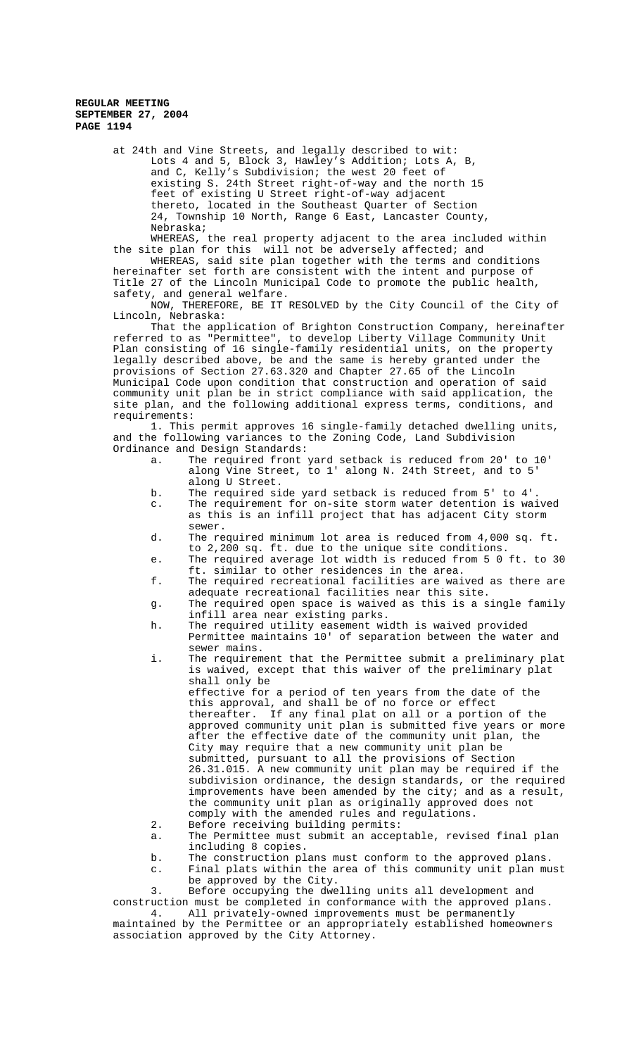at 24th and Vine Streets, and legally described to wit: Lots 4 and 5, Block 3, Hawley's Addition; Lots A, B, and C, Kelly's Subdivision; the west 20 feet of existing S. 24th Street right-of-way and the north 15 feet of existing U Street right-of-way adjacent thereto, located in the Southeast Quarter of Section 24, Township 10 North, Range 6 East, Lancaster County, Nebraska;

WHEREAS, the real property adjacent to the area included within the site plan for this will not be adversely affected; and

WHEREAS, said site plan together with the terms and conditions hereinafter set forth are consistent with the intent and purpose of Title 27 of the Lincoln Municipal Code to promote the public health, safety, and general welfare.

NOW, THEREFORE, BE IT RESOLVED by the City Council of the City of Lincoln, Nebraska:

That the application of Brighton Construction Company, hereinafter referred to as "Permittee", to develop Liberty Village Community Unit Plan consisting of 16 single-family residential units, on the property legally described above, be and the same is hereby granted under the provisions of Section 27.63.320 and Chapter 27.65 of the Lincoln Municipal Code upon condition that construction and operation of said community unit plan be in strict compliance with said application, the site plan, and the following additional express terms, conditions, and requirements:

1. This permit approves 16 single-family detached dwelling units, and the following variances to the Zoning Code, Land Subdivision Ordinance and Design Standards:

- a. The required front yard setback is reduced from 20' to 10' along Vine Street, to 1' along N. 24th Street, and to 5' along U Street.
- b. The required side yard setback is reduced from 5' to 4'.
- c. The requirement for on-site storm water detention is waived as this is an infill project that has adjacent City storm sewer.
- d. The required minimum lot area is reduced from 4,000 sq. ft. to 2,200 sq. ft. due to the unique site conditions.
- e. The required average lot width is reduced from 5 0 ft. to 30 ft. similar to other residences in the area.
- f. The required recreational facilities are waived as there are adequate recreational facilities near this site.
- g. The required open space is waived as this is a single family infill area near existing parks.
- h. The required utility easement width is waived provided Permittee maintains 10' of separation between the water and sewer mains.
- i. The requirement that the Permittee submit a preliminary plat is waived, except that this waiver of the preliminary plat shall only be
	- effective for a period of ten years from the date of the this approval, and shall be of no force or effect thereafter. If any final plat on all or a portion of the approved community unit plan is submitted five years or more after the effective date of the community unit plan, the City may require that a new community unit plan be submitted, pursuant to all the provisions of Section 26.31.015. A new community unit plan may be required if the subdivision ordinance, the design standards, or the required improvements have been amended by the city; and as a result, the community unit plan as originally approved does not comply with the amended rules and regulations.
- 2. Before receiving building permits:
- a. The Permittee must submit an acceptable, revised final plan including 8 copies.
- b. The construction plans must conform to the approved plans.
- c. Final plats within the area of this community unit plan must be approved by the City.

3. Before occupying the dwelling units all development and construction must be completed in conformance with the approved plans. 4. All privately-owned improvements must be permanently

maintained by the Permittee or an appropriately established homeowners association approved by the City Attorney.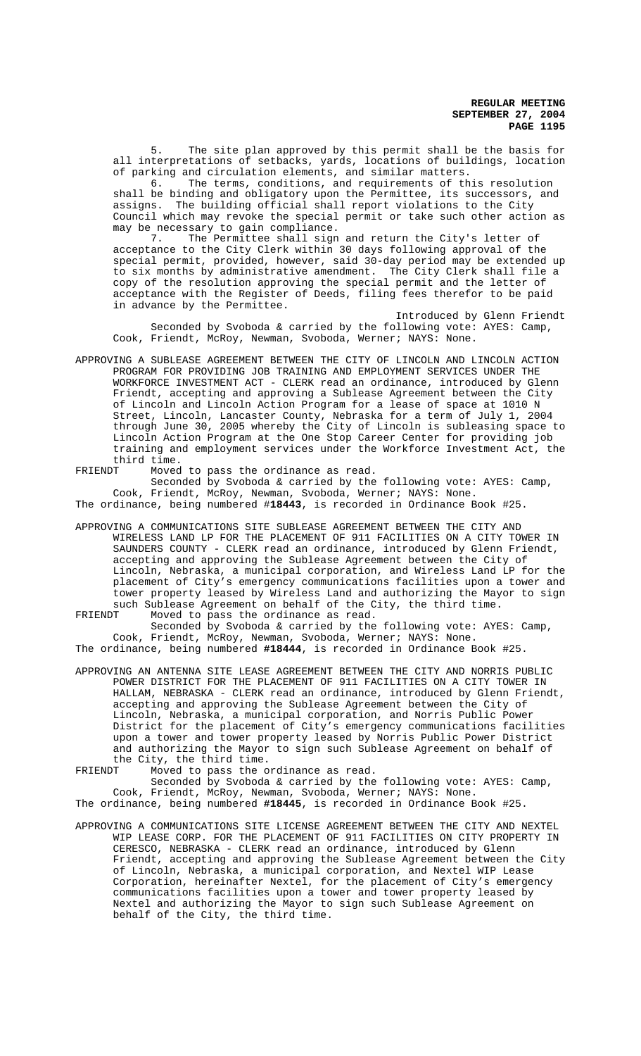5. The site plan approved by this permit shall be the basis for all interpretations of setbacks, yards, locations of buildings, location of parking and circulation elements, and similar matters.

6. The terms, conditions, and requirements of this resolution shall be binding and obligatory upon the Permittee, its successors, and assigns. The building official shall report violations to the City Council which may revoke the special permit or take such other action as may be necessary to gain compliance.

7. The Permittee shall sign and return the City's letter of acceptance to the City Clerk within 30 days following approval of the special permit, provided, however, said 30-day period may be extended up to six months by administrative amendment. The City Clerk shall file a copy of the resolution approving the special permit and the letter of acceptance with the Register of Deeds, filing fees therefor to be paid in advance by the Permittee.

Introduced by Glenn Friendt Seconded by Svoboda & carried by the following vote: AYES: Camp, Cook, Friendt, McRoy, Newman, Svoboda, Werner; NAYS: None.

APPROVING A SUBLEASE AGREEMENT BETWEEN THE CITY OF LINCOLN AND LINCOLN ACTION PROGRAM FOR PROVIDING JOB TRAINING AND EMPLOYMENT SERVICES UNDER THE WORKFORCE INVESTMENT ACT - CLERK read an ordinance, introduced by Glenn Friendt, accepting and approving a Sublease Agreement between the City of Lincoln and Lincoln Action Program for a lease of space at 1010 N Street, Lincoln, Lancaster County, Nebraska for a term of July 1, 2004 through June 30, 2005 whereby the City of Lincoln is subleasing space to Lincoln Action Program at the One Stop Career Center for providing job training and employment services under the Workforce Investment Act, the third time.

FRIENDT Moved to pass the ordinance as read. Seconded by Svoboda & carried by the following vote: AYES: Camp, Cook, Friendt, McRoy, Newman, Svoboda, Werner; NAYS: None. The ordinance, being numbered #**18443**, is recorded in Ordinance Book #25.

APPROVING A COMMUNICATIONS SITE SUBLEASE AGREEMENT BETWEEN THE CITY AND WIRELESS LAND LP FOR THE PLACEMENT OF 911 FACILITIES ON A CITY TOWER IN SAUNDERS COUNTY - CLERK read an ordinance, introduced by Glenn Friendt, accepting and approving the Sublease Agreement between the City of Lincoln, Nebraska, a municipal corporation, and Wireless Land LP for the placement of City's emergency communications facilities upon a tower and tower property leased by Wireless Land and authorizing the Mayor to sign such Sublease Agreement on behalf of the City, the third time.<br>FRIENDT Moved to pass the ordinance as read.

Moved to pass the ordinance as read. Seconded by Svoboda & carried by the following vote: AYES: Camp, Cook, Friendt, McRoy, Newman, Svoboda, Werner; NAYS: None. The ordinance, being numbered **#18444**, is recorded in Ordinance Book #25.

APPROVING AN ANTENNA SITE LEASE AGREEMENT BETWEEN THE CITY AND NORRIS PUBLIC POWER DISTRICT FOR THE PLACEMENT OF 911 FACILITIES ON A CITY TOWER IN HALLAM, NEBRASKA - CLERK read an ordinance, introduced by Glenn Friendt, accepting and approving the Sublease Agreement between the City of Lincoln, Nebraska, a municipal corporation, and Norris Public Power District for the placement of City's emergency communications facilities upon a tower and tower property leased by Norris Public Power District and authorizing the Mayor to sign such Sublease Agreement on behalf of the City, the third time.<br>FRIENDT Moved to pass the o

Moved to pass the ordinance as read.

Seconded by Svoboda & carried by the following vote: AYES: Camp, Cook, Friendt, McRoy, Newman, Svoboda, Werner; NAYS: None. The ordinance, being numbered **#18445**, is recorded in Ordinance Book #25.

APPROVING A COMMUNICATIONS SITE LICENSE AGREEMENT BETWEEN THE CITY AND NEXTEL WIP LEASE CORP. FOR THE PLACEMENT OF 911 FACILITIES ON CITY PROPERTY IN CERESCO, NEBRASKA - CLERK read an ordinance, introduced by Glenn Friendt, accepting and approving the Sublease Agreement between the City of Lincoln, Nebraska, a municipal corporation, and Nextel WIP Lease Corporation, hereinafter Nextel, for the placement of City's emergency communications facilities upon a tower and tower property leased by Nextel and authorizing the Mayor to sign such Sublease Agreement on behalf of the City, the third time.